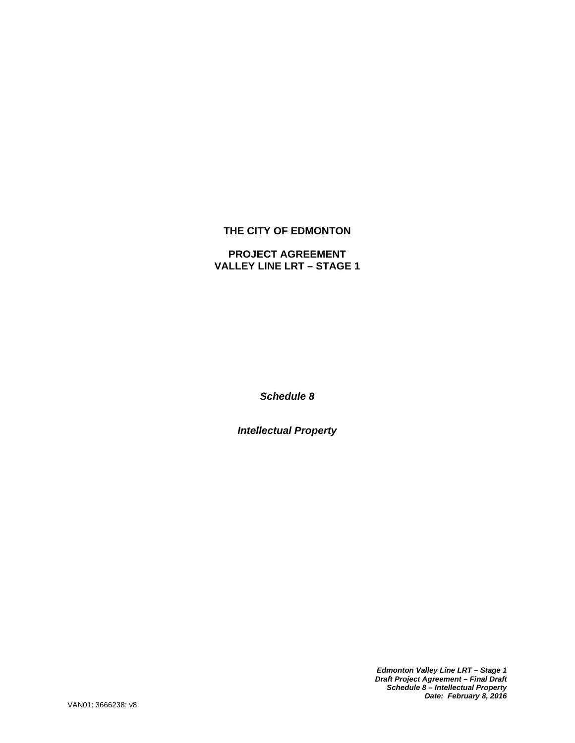# **THE CITY OF EDMONTON**

# **PROJECT AGREEMENT VALLEY LINE LRT – STAGE 1**

*Schedule 8* 

*Intellectual Property* 

*Edmonton Valley Line LRT – Stage 1 Draft Project Agreement – Final Draft Schedule 8 – Intellectual Property Date: February 8, 2016*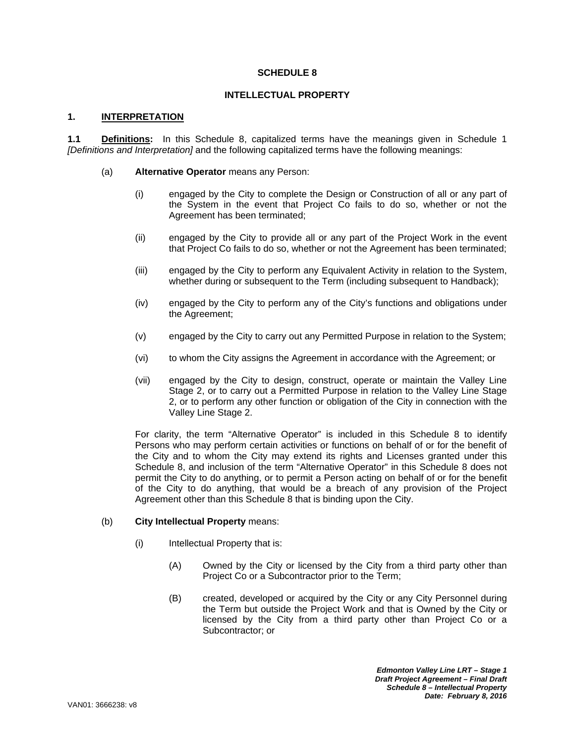### **SCHEDULE 8**

### **INTELLECTUAL PROPERTY**

### **1. INTERPRETATION**

**1.1 Definitions:** In this Schedule 8, capitalized terms have the meanings given in Schedule 1 *[Definitions and Interpretation]* and the following capitalized terms have the following meanings:

- (a) **Alternative Operator** means any Person:
	- (i) engaged by the City to complete the Design or Construction of all or any part of the System in the event that Project Co fails to do so, whether or not the Agreement has been terminated;
	- (ii) engaged by the City to provide all or any part of the Project Work in the event that Project Co fails to do so, whether or not the Agreement has been terminated;
	- (iii) engaged by the City to perform any Equivalent Activity in relation to the System, whether during or subsequent to the Term (including subsequent to Handback);
	- (iv) engaged by the City to perform any of the City's functions and obligations under the Agreement;
	- (v) engaged by the City to carry out any Permitted Purpose in relation to the System;
	- (vi) to whom the City assigns the Agreement in accordance with the Agreement; or
	- (vii) engaged by the City to design, construct, operate or maintain the Valley Line Stage 2, or to carry out a Permitted Purpose in relation to the Valley Line Stage 2, or to perform any other function or obligation of the City in connection with the Valley Line Stage 2.

For clarity, the term "Alternative Operator" is included in this Schedule 8 to identify Persons who may perform certain activities or functions on behalf of or for the benefit of the City and to whom the City may extend its rights and Licenses granted under this Schedule 8, and inclusion of the term "Alternative Operator" in this Schedule 8 does not permit the City to do anything, or to permit a Person acting on behalf of or for the benefit of the City to do anything, that would be a breach of any provision of the Project Agreement other than this Schedule 8 that is binding upon the City.

#### (b) **City Intellectual Property** means:

- (i) Intellectual Property that is:
	- (A) Owned by the City or licensed by the City from a third party other than Project Co or a Subcontractor prior to the Term;
	- (B) created, developed or acquired by the City or any City Personnel during the Term but outside the Project Work and that is Owned by the City or licensed by the City from a third party other than Project Co or a Subcontractor; or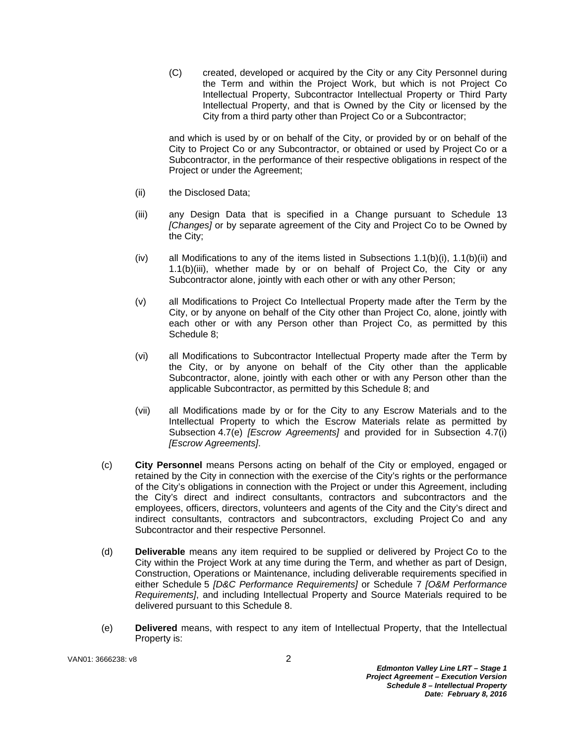(C) created, developed or acquired by the City or any City Personnel during the Term and within the Project Work, but which is not Project Co Intellectual Property, Subcontractor Intellectual Property or Third Party Intellectual Property, and that is Owned by the City or licensed by the City from a third party other than Project Co or a Subcontractor;

and which is used by or on behalf of the City, or provided by or on behalf of the City to Project Co or any Subcontractor, or obtained or used by Project Co or a Subcontractor, in the performance of their respective obligations in respect of the Project or under the Agreement;

- (ii) the Disclosed Data;
- (iii) any Design Data that is specified in a Change pursuant to Schedule 13 *[Changes]* or by separate agreement of the City and Project Co to be Owned by the City;
- (iv) all Modifications to any of the items listed in Subsections  $1.1(b)(i)$ ,  $1.1(b)(ii)$  and 1.1(b)(iii), whether made by or on behalf of Project Co, the City or any Subcontractor alone, jointly with each other or with any other Person;
- (v) all Modifications to Project Co Intellectual Property made after the Term by the City, or by anyone on behalf of the City other than Project Co, alone, jointly with each other or with any Person other than Project Co, as permitted by this Schedule 8;
- (vi) all Modifications to Subcontractor Intellectual Property made after the Term by the City, or by anyone on behalf of the City other than the applicable Subcontractor, alone, jointly with each other or with any Person other than the applicable Subcontractor, as permitted by this Schedule 8; and
- (vii) all Modifications made by or for the City to any Escrow Materials and to the Intellectual Property to which the Escrow Materials relate as permitted by Subsection 4.7(e) *[Escrow Agreements]* and provided for in Subsection 4.7(i) *[Escrow Agreements]*.
- (c) **City Personnel** means Persons acting on behalf of the City or employed, engaged or retained by the City in connection with the exercise of the City's rights or the performance of the City's obligations in connection with the Project or under this Agreement, including the City's direct and indirect consultants, contractors and subcontractors and the employees, officers, directors, volunteers and agents of the City and the City's direct and indirect consultants, contractors and subcontractors, excluding Project Co and any Subcontractor and their respective Personnel.
- (d) **Deliverable** means any item required to be supplied or delivered by Project Co to the City within the Project Work at any time during the Term, and whether as part of Design, Construction, Operations or Maintenance, including deliverable requirements specified in either Schedule 5 *[D&C Performance Requirements]* or Schedule 7 *[O&M Performance Requirements]*, and including Intellectual Property and Source Materials required to be delivered pursuant to this Schedule 8.
- (e) **Delivered** means, with respect to any item of Intellectual Property, that the Intellectual Property is: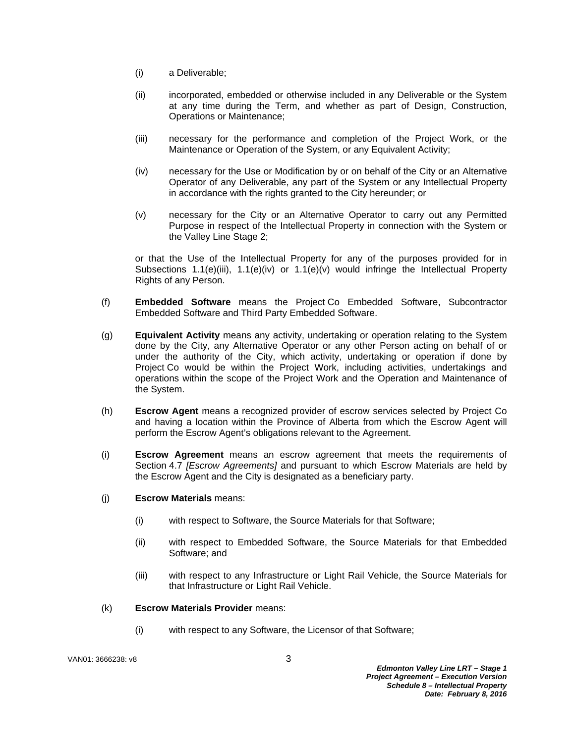- (i) a Deliverable;
- (ii) incorporated, embedded or otherwise included in any Deliverable or the System at any time during the Term, and whether as part of Design, Construction, Operations or Maintenance;
- (iii) necessary for the performance and completion of the Project Work, or the Maintenance or Operation of the System, or any Equivalent Activity;
- (iv) necessary for the Use or Modification by or on behalf of the City or an Alternative Operator of any Deliverable, any part of the System or any Intellectual Property in accordance with the rights granted to the City hereunder; or
- (v) necessary for the City or an Alternative Operator to carry out any Permitted Purpose in respect of the Intellectual Property in connection with the System or the Valley Line Stage 2;

or that the Use of the Intellectual Property for any of the purposes provided for in Subsections  $1.1(e)(iii)$ ,  $1.1(e)(iv)$  or  $1.1(e)(v)$  would infringe the Intellectual Property Rights of any Person.

- (f) **Embedded Software** means the Project Co Embedded Software, Subcontractor Embedded Software and Third Party Embedded Software.
- (g) **Equivalent Activity** means any activity, undertaking or operation relating to the System done by the City, any Alternative Operator or any other Person acting on behalf of or under the authority of the City, which activity, undertaking or operation if done by Project Co would be within the Project Work, including activities, undertakings and operations within the scope of the Project Work and the Operation and Maintenance of the System.
- (h) **Escrow Agent** means a recognized provider of escrow services selected by Project Co and having a location within the Province of Alberta from which the Escrow Agent will perform the Escrow Agent's obligations relevant to the Agreement.
- (i) **Escrow Agreement** means an escrow agreement that meets the requirements of Section 4.7 *[Escrow Agreements]* and pursuant to which Escrow Materials are held by the Escrow Agent and the City is designated as a beneficiary party.
- (j) **Escrow Materials** means:
	- (i) with respect to Software, the Source Materials for that Software;
	- (ii) with respect to Embedded Software, the Source Materials for that Embedded Software; and
	- (iii) with respect to any Infrastructure or Light Rail Vehicle, the Source Materials for that Infrastructure or Light Rail Vehicle.

#### (k) **Escrow Materials Provider** means:

(i) with respect to any Software, the Licensor of that Software;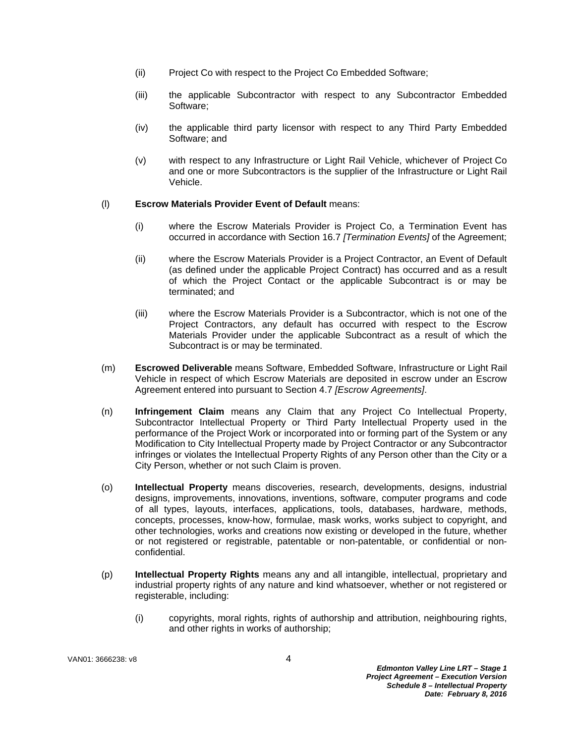- (ii) Project Co with respect to the Project Co Embedded Software;
- (iii) the applicable Subcontractor with respect to any Subcontractor Embedded Software;
- (iv) the applicable third party licensor with respect to any Third Party Embedded Software; and
- (v) with respect to any Infrastructure or Light Rail Vehicle, whichever of Project Co and one or more Subcontractors is the supplier of the Infrastructure or Light Rail Vehicle.

## (l) **Escrow Materials Provider Event of Default** means:

- (i) where the Escrow Materials Provider is Project Co, a Termination Event has occurred in accordance with Section 16.7 *[Termination Events]* of the Agreement;
- (ii) where the Escrow Materials Provider is a Project Contractor, an Event of Default (as defined under the applicable Project Contract) has occurred and as a result of which the Project Contact or the applicable Subcontract is or may be terminated; and
- (iii) where the Escrow Materials Provider is a Subcontractor, which is not one of the Project Contractors, any default has occurred with respect to the Escrow Materials Provider under the applicable Subcontract as a result of which the Subcontract is or may be terminated.
- (m) **Escrowed Deliverable** means Software, Embedded Software, Infrastructure or Light Rail Vehicle in respect of which Escrow Materials are deposited in escrow under an Escrow Agreement entered into pursuant to Section 4.7 *[Escrow Agreements]*.
- (n) **Infringement Claim** means any Claim that any Project Co Intellectual Property, Subcontractor Intellectual Property or Third Party Intellectual Property used in the performance of the Project Work or incorporated into or forming part of the System or any Modification to City Intellectual Property made by Project Contractor or any Subcontractor infringes or violates the Intellectual Property Rights of any Person other than the City or a City Person, whether or not such Claim is proven.
- (o) **Intellectual Property** means discoveries, research, developments, designs, industrial designs, improvements, innovations, inventions, software, computer programs and code of all types, layouts, interfaces, applications, tools, databases, hardware, methods, concepts, processes, know-how, formulae, mask works, works subject to copyright, and other technologies, works and creations now existing or developed in the future, whether or not registered or registrable, patentable or non-patentable, or confidential or nonconfidential.
- (p) **Intellectual Property Rights** means any and all intangible, intellectual, proprietary and industrial property rights of any nature and kind whatsoever, whether or not registered or registerable, including:
	- (i) copyrights, moral rights, rights of authorship and attribution, neighbouring rights, and other rights in works of authorship;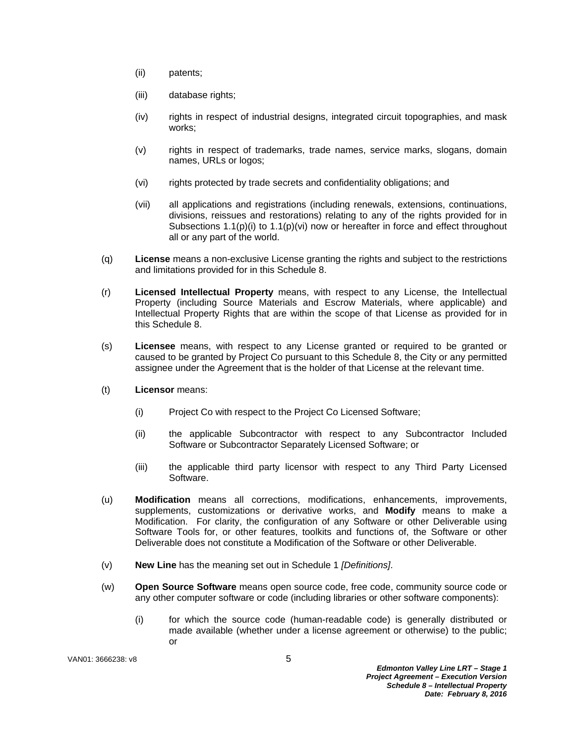- (ii) patents;
- (iii) database rights;
- (iv) rights in respect of industrial designs, integrated circuit topographies, and mask works;
- (v) rights in respect of trademarks, trade names, service marks, slogans, domain names, URLs or logos;
- (vi) rights protected by trade secrets and confidentiality obligations; and
- (vii) all applications and registrations (including renewals, extensions, continuations, divisions, reissues and restorations) relating to any of the rights provided for in Subsections  $1.1(p)(i)$  to  $1.1(p)(vi)$  now or hereafter in force and effect throughout all or any part of the world.
- (q) **License** means a non-exclusive License granting the rights and subject to the restrictions and limitations provided for in this Schedule 8.
- (r) **Licensed Intellectual Property** means, with respect to any License, the Intellectual Property (including Source Materials and Escrow Materials, where applicable) and Intellectual Property Rights that are within the scope of that License as provided for in this Schedule 8.
- (s) **Licensee** means, with respect to any License granted or required to be granted or caused to be granted by Project Co pursuant to this Schedule 8, the City or any permitted assignee under the Agreement that is the holder of that License at the relevant time.
- (t) **Licensor** means:
	- (i) Project Co with respect to the Project Co Licensed Software;
	- (ii) the applicable Subcontractor with respect to any Subcontractor Included Software or Subcontractor Separately Licensed Software; or
	- (iii) the applicable third party licensor with respect to any Third Party Licensed Software.
- (u) **Modification** means all corrections, modifications, enhancements, improvements, supplements, customizations or derivative works, and **Modify** means to make a Modification. For clarity, the configuration of any Software or other Deliverable using Software Tools for, or other features, toolkits and functions of, the Software or other Deliverable does not constitute a Modification of the Software or other Deliverable.
- (v) **New Line** has the meaning set out in Schedule 1 *[Definitions]*.
- (w) **Open Source Software** means open source code, free code, community source code or any other computer software or code (including libraries or other software components):
	- (i) for which the source code (human-readable code) is generally distributed or made available (whether under a license agreement or otherwise) to the public; or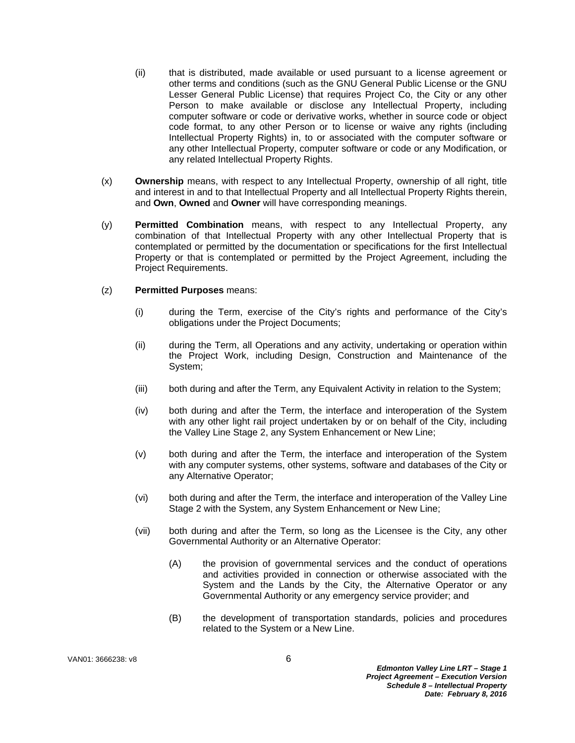- (ii) that is distributed, made available or used pursuant to a license agreement or other terms and conditions (such as the GNU General Public License or the GNU Lesser General Public License) that requires Project Co, the City or any other Person to make available or disclose any Intellectual Property, including computer software or code or derivative works, whether in source code or object code format, to any other Person or to license or waive any rights (including Intellectual Property Rights) in, to or associated with the computer software or any other Intellectual Property, computer software or code or any Modification, or any related Intellectual Property Rights.
- (x) **Ownership** means, with respect to any Intellectual Property, ownership of all right, title and interest in and to that Intellectual Property and all Intellectual Property Rights therein, and **Own**, **Owned** and **Owner** will have corresponding meanings.
- (y) **Permitted Combination** means, with respect to any Intellectual Property, any combination of that Intellectual Property with any other Intellectual Property that is contemplated or permitted by the documentation or specifications for the first Intellectual Property or that is contemplated or permitted by the Project Agreement, including the Project Requirements.

#### (z) **Permitted Purposes** means:

- (i) during the Term, exercise of the City's rights and performance of the City's obligations under the Project Documents;
- (ii) during the Term, all Operations and any activity, undertaking or operation within the Project Work, including Design, Construction and Maintenance of the System;
- (iii) both during and after the Term, any Equivalent Activity in relation to the System;
- (iv) both during and after the Term, the interface and interoperation of the System with any other light rail project undertaken by or on behalf of the City, including the Valley Line Stage 2, any System Enhancement or New Line;
- (v) both during and after the Term, the interface and interoperation of the System with any computer systems, other systems, software and databases of the City or any Alternative Operator;
- (vi) both during and after the Term, the interface and interoperation of the Valley Line Stage 2 with the System, any System Enhancement or New Line;
- (vii) both during and after the Term, so long as the Licensee is the City, any other Governmental Authority or an Alternative Operator:
	- (A) the provision of governmental services and the conduct of operations and activities provided in connection or otherwise associated with the System and the Lands by the City, the Alternative Operator or any Governmental Authority or any emergency service provider; and
	- (B) the development of transportation standards, policies and procedures related to the System or a New Line.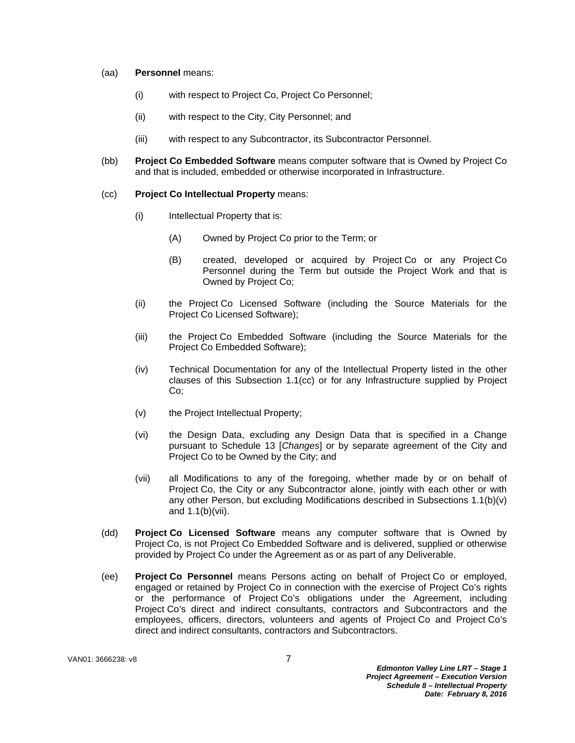#### (aa) **Personnel** means:

- (i) with respect to Project Co, Project Co Personnel;
- (ii) with respect to the City, City Personnel; and
- (iii) with respect to any Subcontractor, its Subcontractor Personnel.
- (bb) **Project Co Embedded Software** means computer software that is Owned by Project Co and that is included, embedded or otherwise incorporated in Infrastructure.

#### (cc) **Project Co Intellectual Property** means:

- (i) Intellectual Property that is:
	- (A) Owned by Project Co prior to the Term; or
	- (B) created, developed or acquired by Project Co or any Project Co Personnel during the Term but outside the Project Work and that is Owned by Project Co;
- (ii) the Project Co Licensed Software (including the Source Materials for the Project Co Licensed Software);
- (iii) the Project Co Embedded Software (including the Source Materials for the Project Co Embedded Software);
- (iv) Technical Documentation for any of the Intellectual Property listed in the other clauses of this Subsection 1.1(cc) or for any Infrastructure supplied by Project Co;
- (v) the Project Intellectual Property;
- (vi) the Design Data, excluding any Design Data that is specified in a Change pursuant to Schedule 13 [*Changes*] or by separate agreement of the City and Project Co to be Owned by the City; and
- (vii) all Modifications to any of the foregoing, whether made by or on behalf of Project Co, the City or any Subcontractor alone, jointly with each other or with any other Person, but excluding Modifications described in Subsections 1.1(b)(v) and 1.1(b)(vii).
- (dd) **Project Co Licensed Software** means any computer software that is Owned by Project Co, is not Project Co Embedded Software and is delivered, supplied or otherwise provided by Project Co under the Agreement as or as part of any Deliverable.
- (ee) **Project Co Personnel** means Persons acting on behalf of Project Co or employed, engaged or retained by Project Co in connection with the exercise of Project Co's rights or the performance of Project Co's obligations under the Agreement, including Project Co's direct and indirect consultants, contractors and Subcontractors and the employees, officers, directors, volunteers and agents of Project Co and Project Co's direct and indirect consultants, contractors and Subcontractors.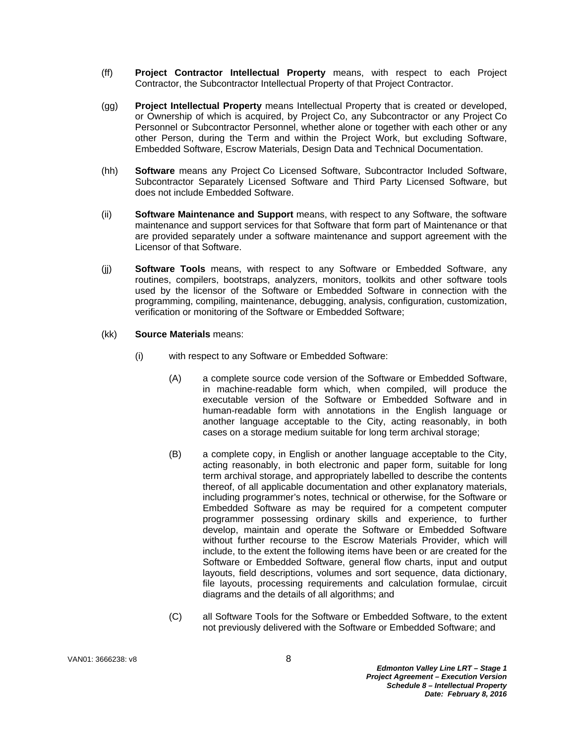- (ff) **Project Contractor Intellectual Property** means, with respect to each Project Contractor, the Subcontractor Intellectual Property of that Project Contractor.
- (gg) **Project Intellectual Property** means Intellectual Property that is created or developed, or Ownership of which is acquired, by Project Co, any Subcontractor or any Project Co Personnel or Subcontractor Personnel, whether alone or together with each other or any other Person, during the Term and within the Project Work, but excluding Software, Embedded Software, Escrow Materials, Design Data and Technical Documentation.
- (hh) **Software** means any Project Co Licensed Software, Subcontractor Included Software, Subcontractor Separately Licensed Software and Third Party Licensed Software, but does not include Embedded Software.
- (ii) **Software Maintenance and Support** means, with respect to any Software, the software maintenance and support services for that Software that form part of Maintenance or that are provided separately under a software maintenance and support agreement with the Licensor of that Software.
- (jj) **Software Tools** means, with respect to any Software or Embedded Software, any routines, compilers, bootstraps, analyzers, monitors, toolkits and other software tools used by the licensor of the Software or Embedded Software in connection with the programming, compiling, maintenance, debugging, analysis, configuration, customization, verification or monitoring of the Software or Embedded Software;
- (kk) **Source Materials** means:
	- (i) with respect to any Software or Embedded Software:
		- (A) a complete source code version of the Software or Embedded Software, in machine-readable form which, when compiled, will produce the executable version of the Software or Embedded Software and in human-readable form with annotations in the English language or another language acceptable to the City, acting reasonably, in both cases on a storage medium suitable for long term archival storage;
		- (B) a complete copy, in English or another language acceptable to the City, acting reasonably, in both electronic and paper form, suitable for long term archival storage, and appropriately labelled to describe the contents thereof, of all applicable documentation and other explanatory materials, including programmer's notes, technical or otherwise, for the Software or Embedded Software as may be required for a competent computer programmer possessing ordinary skills and experience, to further develop, maintain and operate the Software or Embedded Software without further recourse to the Escrow Materials Provider, which will include, to the extent the following items have been or are created for the Software or Embedded Software, general flow charts, input and output layouts, field descriptions, volumes and sort sequence, data dictionary, file layouts, processing requirements and calculation formulae, circuit diagrams and the details of all algorithms; and
		- (C) all Software Tools for the Software or Embedded Software, to the extent not previously delivered with the Software or Embedded Software; and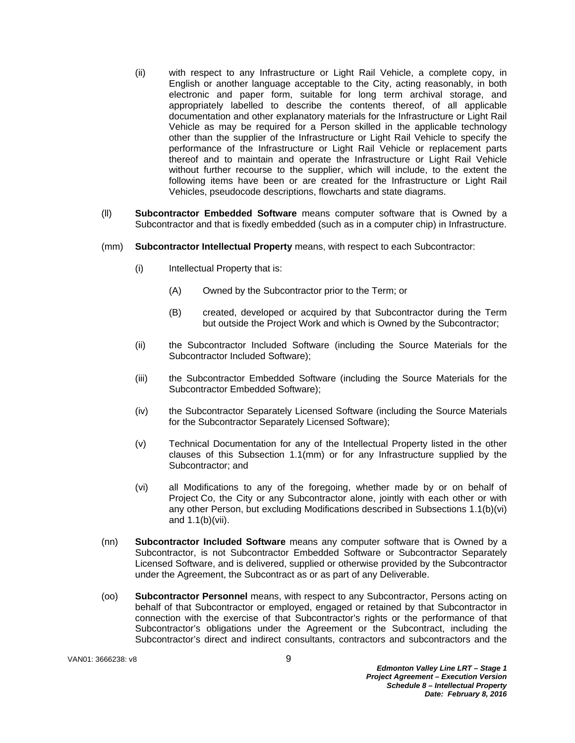- (ii) with respect to any Infrastructure or Light Rail Vehicle, a complete copy, in English or another language acceptable to the City, acting reasonably, in both electronic and paper form, suitable for long term archival storage, and appropriately labelled to describe the contents thereof, of all applicable documentation and other explanatory materials for the Infrastructure or Light Rail Vehicle as may be required for a Person skilled in the applicable technology other than the supplier of the Infrastructure or Light Rail Vehicle to specify the performance of the Infrastructure or Light Rail Vehicle or replacement parts thereof and to maintain and operate the Infrastructure or Light Rail Vehicle without further recourse to the supplier, which will include, to the extent the following items have been or are created for the Infrastructure or Light Rail Vehicles, pseudocode descriptions, flowcharts and state diagrams.
- (ll) **Subcontractor Embedded Software** means computer software that is Owned by a Subcontractor and that is fixedly embedded (such as in a computer chip) in Infrastructure.
- (mm) **Subcontractor Intellectual Property** means, with respect to each Subcontractor:
	- (i) Intellectual Property that is:
		- (A) Owned by the Subcontractor prior to the Term; or
		- (B) created, developed or acquired by that Subcontractor during the Term but outside the Project Work and which is Owned by the Subcontractor;
	- (ii) the Subcontractor Included Software (including the Source Materials for the Subcontractor Included Software);
	- (iii) the Subcontractor Embedded Software (including the Source Materials for the Subcontractor Embedded Software);
	- (iv) the Subcontractor Separately Licensed Software (including the Source Materials for the Subcontractor Separately Licensed Software);
	- (v) Technical Documentation for any of the Intellectual Property listed in the other clauses of this Subsection 1.1(mm) or for any Infrastructure supplied by the Subcontractor; and
	- (vi) all Modifications to any of the foregoing, whether made by or on behalf of Project Co, the City or any Subcontractor alone, jointly with each other or with any other Person, but excluding Modifications described in Subsections 1.1(b)(vi) and 1.1(b)(vii).
- (nn) **Subcontractor Included Software** means any computer software that is Owned by a Subcontractor, is not Subcontractor Embedded Software or Subcontractor Separately Licensed Software, and is delivered, supplied or otherwise provided by the Subcontractor under the Agreement, the Subcontract as or as part of any Deliverable.
- (oo) **Subcontractor Personnel** means, with respect to any Subcontractor, Persons acting on behalf of that Subcontractor or employed, engaged or retained by that Subcontractor in connection with the exercise of that Subcontractor's rights or the performance of that Subcontractor's obligations under the Agreement or the Subcontract, including the Subcontractor's direct and indirect consultants, contractors and subcontractors and the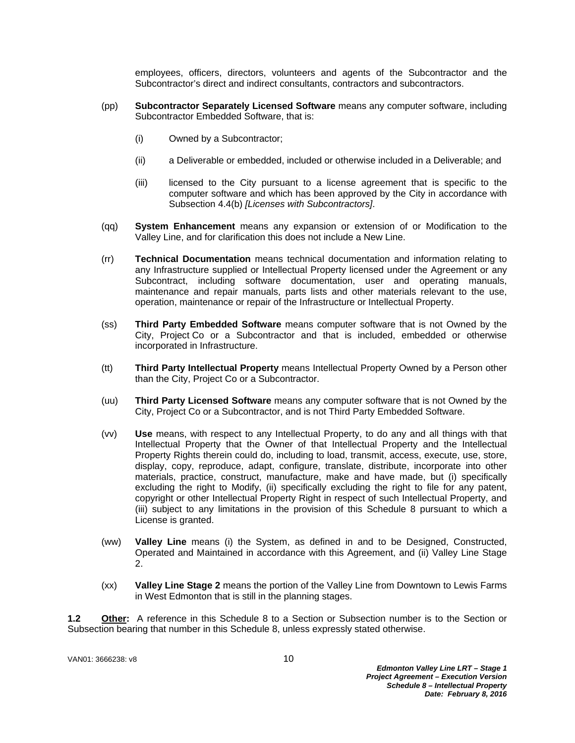employees, officers, directors, volunteers and agents of the Subcontractor and the Subcontractor's direct and indirect consultants, contractors and subcontractors.

- (pp) **Subcontractor Separately Licensed Software** means any computer software, including Subcontractor Embedded Software, that is:
	- (i) Owned by a Subcontractor;
	- (ii) a Deliverable or embedded, included or otherwise included in a Deliverable; and
	- (iii) licensed to the City pursuant to a license agreement that is specific to the computer software and which has been approved by the City in accordance with Subsection 4.4(b) *[Licenses with Subcontractors]*.
- (qq) **System Enhancement** means any expansion or extension of or Modification to the Valley Line, and for clarification this does not include a New Line.
- (rr) **Technical Documentation** means technical documentation and information relating to any Infrastructure supplied or Intellectual Property licensed under the Agreement or any Subcontract, including software documentation, user and operating manuals, maintenance and repair manuals, parts lists and other materials relevant to the use, operation, maintenance or repair of the Infrastructure or Intellectual Property.
- (ss) **Third Party Embedded Software** means computer software that is not Owned by the City, Project Co or a Subcontractor and that is included, embedded or otherwise incorporated in Infrastructure.
- (tt) **Third Party Intellectual Property** means Intellectual Property Owned by a Person other than the City, Project Co or a Subcontractor.
- (uu) **Third Party Licensed Software** means any computer software that is not Owned by the City, Project Co or a Subcontractor, and is not Third Party Embedded Software.
- (vv) **Use** means, with respect to any Intellectual Property, to do any and all things with that Intellectual Property that the Owner of that Intellectual Property and the Intellectual Property Rights therein could do, including to load, transmit, access, execute, use, store, display, copy, reproduce, adapt, configure, translate, distribute, incorporate into other materials, practice, construct, manufacture, make and have made, but (i) specifically excluding the right to Modify, (ii) specifically excluding the right to file for any patent, copyright or other Intellectual Property Right in respect of such Intellectual Property, and (iii) subject to any limitations in the provision of this Schedule 8 pursuant to which a License is granted.
- (ww) **Valley Line** means (i) the System, as defined in and to be Designed, Constructed, Operated and Maintained in accordance with this Agreement, and (ii) Valley Line Stage 2.
- (xx) **Valley Line Stage 2** means the portion of the Valley Line from Downtown to Lewis Farms in West Edmonton that is still in the planning stages.

**1.2 Other:** A reference in this Schedule 8 to a Section or Subsection number is to the Section or Subsection bearing that number in this Schedule 8, unless expressly stated otherwise.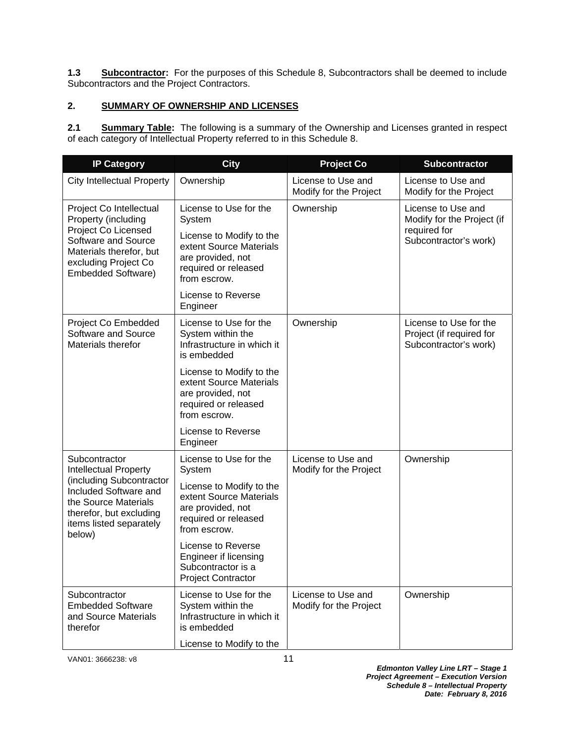**1.3 Subcontractor:** For the purposes of this Schedule 8, Subcontractors shall be deemed to include Subcontractors and the Project Contractors.

# **2. SUMMARY OF OWNERSHIP AND LICENSES**

2.1 **Summary Table:** The following is a summary of the Ownership and Licenses granted in respect of each category of Intellectual Property referred to in this Schedule 8.

| <b>IP Category</b>                                                                                                                                                                         | <b>City</b>                                                                                                      | <b>Project Co</b>                            | Subcontractor                                                               |
|--------------------------------------------------------------------------------------------------------------------------------------------------------------------------------------------|------------------------------------------------------------------------------------------------------------------|----------------------------------------------|-----------------------------------------------------------------------------|
| <b>City Intellectual Property</b>                                                                                                                                                          | Ownership                                                                                                        | License to Use and<br>Modify for the Project | License to Use and<br>Modify for the Project                                |
| Project Co Intellectual<br>Property (including<br>Project Co Licensed<br>Software and Source<br>Materials therefor, but<br>excluding Project Co<br><b>Embedded Software)</b>               | License to Use for the<br>System                                                                                 | Ownership                                    | License to Use and<br>Modify for the Project (if                            |
|                                                                                                                                                                                            | License to Modify to the<br>extent Source Materials<br>are provided, not<br>required or released<br>from escrow. |                                              | required for<br>Subcontractor's work)                                       |
|                                                                                                                                                                                            | License to Reverse<br>Engineer                                                                                   |                                              |                                                                             |
| Project Co Embedded<br>Software and Source<br>Materials therefor                                                                                                                           | License to Use for the<br>System within the<br>Infrastructure in which it<br>is embedded                         | Ownership                                    | License to Use for the<br>Project (if required for<br>Subcontractor's work) |
|                                                                                                                                                                                            | License to Modify to the<br>extent Source Materials<br>are provided, not<br>required or released<br>from escrow. |                                              |                                                                             |
|                                                                                                                                                                                            | License to Reverse<br>Engineer                                                                                   |                                              |                                                                             |
| Subcontractor<br><b>Intellectual Property</b><br>(including Subcontractor<br>Included Software and<br>the Source Materials<br>therefor, but excluding<br>items listed separately<br>below) | License to Use for the<br>System                                                                                 | License to Use and<br>Modify for the Project | Ownership                                                                   |
|                                                                                                                                                                                            | License to Modify to the<br>extent Source Materials<br>are provided, not<br>required or released<br>from escrow. |                                              |                                                                             |
|                                                                                                                                                                                            | License to Reverse<br>Engineer if licensing<br>Subcontractor is a<br><b>Project Contractor</b>                   |                                              |                                                                             |
| Subcontractor<br><b>Embedded Software</b><br>and Source Materials<br>therefor                                                                                                              | License to Use for the<br>System within the<br>Infrastructure in which it<br>is embedded                         | License to Use and<br>Modify for the Project | Ownership                                                                   |
|                                                                                                                                                                                            | License to Modify to the                                                                                         |                                              |                                                                             |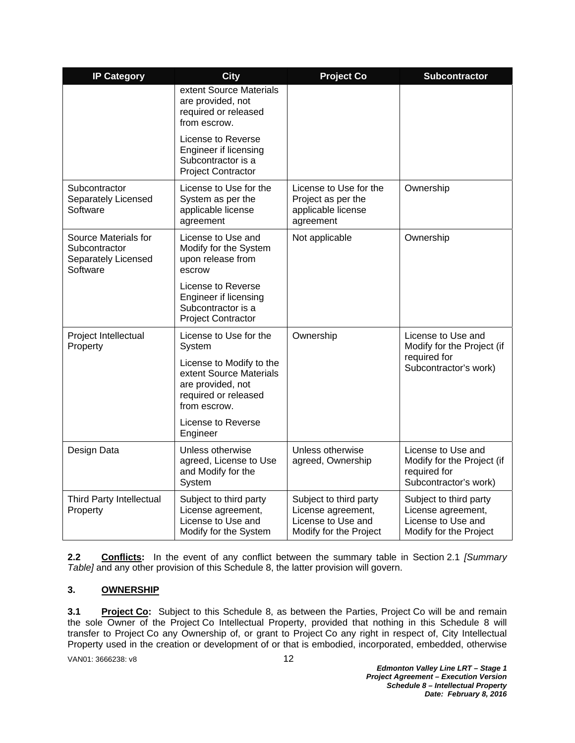| <b>IP Category</b>                                                       | <b>City</b>                                                                                                      | <b>Project Co</b>                                                                            | <b>Subcontractor</b>                                                                         |
|--------------------------------------------------------------------------|------------------------------------------------------------------------------------------------------------------|----------------------------------------------------------------------------------------------|----------------------------------------------------------------------------------------------|
|                                                                          | extent Source Materials<br>are provided, not<br>required or released<br>from escrow.                             |                                                                                              |                                                                                              |
|                                                                          | License to Reverse<br>Engineer if licensing<br>Subcontractor is a<br><b>Project Contractor</b>                   |                                                                                              |                                                                                              |
| Subcontractor<br>Separately Licensed<br>Software                         | License to Use for the<br>System as per the<br>applicable license<br>agreement                                   | License to Use for the<br>Project as per the<br>applicable license<br>agreement              | Ownership                                                                                    |
| Source Materials for<br>Subcontractor<br>Separately Licensed<br>Software | License to Use and<br>Modify for the System<br>upon release from<br>escrow                                       | Not applicable                                                                               | Ownership                                                                                    |
|                                                                          | License to Reverse<br>Engineer if licensing<br>Subcontractor is a<br><b>Project Contractor</b>                   |                                                                                              |                                                                                              |
| Project Intellectual<br>Property                                         | License to Use for the<br>System                                                                                 | Ownership                                                                                    | License to Use and<br>Modify for the Project (if                                             |
|                                                                          | License to Modify to the<br>extent Source Materials<br>are provided, not<br>required or released<br>from escrow. |                                                                                              | required for<br>Subcontractor's work)                                                        |
|                                                                          | License to Reverse<br>Engineer                                                                                   |                                                                                              |                                                                                              |
| Design Data                                                              | Unless otherwise<br>agreed, License to Use<br>and Modify for the<br>System                                       | Unless otherwise<br>agreed, Ownership                                                        | License to Use and<br>Modify for the Project (if<br>required for<br>Subcontractor's work)    |
| Third Party Intellectual<br>Property                                     | Subject to third party<br>License agreement,<br>License to Use and<br>Modify for the System                      | Subject to third party<br>License agreement,<br>License to Use and<br>Modify for the Project | Subject to third party<br>License agreement,<br>License to Use and<br>Modify for the Project |

**2.2 Conflicts:** In the event of any conflict between the summary table in Section 2.1 *[Summary Table]* and any other provision of this Schedule 8, the latter provision will govern.

# **3. OWNERSHIP**

**3.1** Project Co: Subject to this Schedule 8, as between the Parties, Project Co will be and remain the sole Owner of the Project Co Intellectual Property, provided that nothing in this Schedule 8 will transfer to Project Co any Ownership of, or grant to Project Co any right in respect of, City Intellectual Property used in the creation or development of or that is embodied, incorporated, embedded, otherwise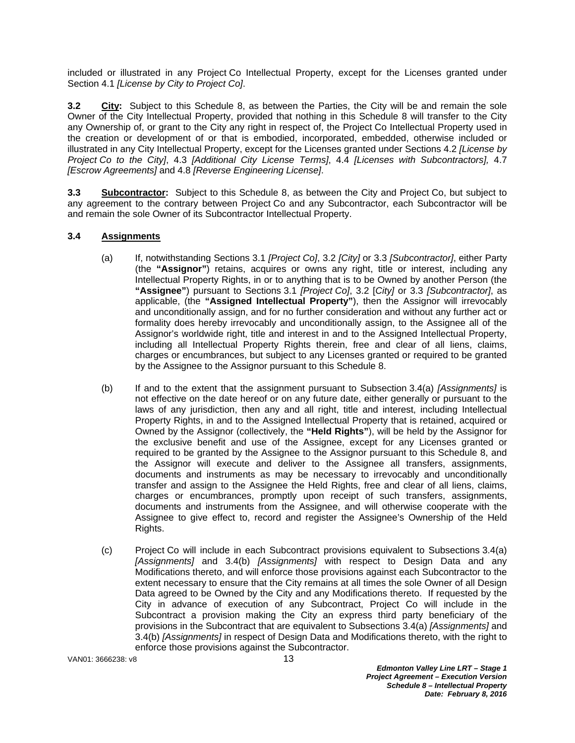included or illustrated in any Project Co Intellectual Property, except for the Licenses granted under Section 4.1 *[License by City to Project Co]*.

**3.2 City:** Subject to this Schedule 8, as between the Parties, the City will be and remain the sole Owner of the City Intellectual Property, provided that nothing in this Schedule 8 will transfer to the City any Ownership of, or grant to the City any right in respect of, the Project Co Intellectual Property used in the creation or development of or that is embodied, incorporated, embedded, otherwise included or illustrated in any City Intellectual Property, except for the Licenses granted under Sections 4.2 *[License by Project Co to the City]*, 4.3 *[Additional City License Terms]*, 4.4 *[Licenses with Subcontractors],* 4.7 *[Escrow Agreements]* and 4.8 *[Reverse Engineering License]*.

**3.3 Subcontractor:** Subject to this Schedule 8, as between the City and Project Co, but subject to any agreement to the contrary between Project Co and any Subcontractor, each Subcontractor will be and remain the sole Owner of its Subcontractor Intellectual Property.

# **3.4 Assignments**

- (a) If, notwithstanding Sections 3.1 *[Project Co]*, 3.2 *[City]* or 3.3 *[Subcontractor]*, either Party (the **"Assignor"**) retains, acquires or owns any right, title or interest, including any Intellectual Property Rights, in or to anything that is to be Owned by another Person (the **"Assignee"**) pursuant to Sections 3.1 *[Project Co]*, 3.2 [*City]* or 3.3 *[Subcontractor]*, as applicable, (the **"Assigned Intellectual Property"**), then the Assignor will irrevocably and unconditionally assign, and for no further consideration and without any further act or formality does hereby irrevocably and unconditionally assign, to the Assignee all of the Assignor's worldwide right, title and interest in and to the Assigned Intellectual Property, including all Intellectual Property Rights therein, free and clear of all liens, claims, charges or encumbrances, but subject to any Licenses granted or required to be granted by the Assignee to the Assignor pursuant to this Schedule 8.
- (b) If and to the extent that the assignment pursuant to Subsection 3.4(a) *[Assignments]* is not effective on the date hereof or on any future date, either generally or pursuant to the laws of any jurisdiction, then any and all right, title and interest, including Intellectual Property Rights, in and to the Assigned Intellectual Property that is retained, acquired or Owned by the Assignor (collectively, the **"Held Rights"**), will be held by the Assignor for the exclusive benefit and use of the Assignee, except for any Licenses granted or required to be granted by the Assignee to the Assignor pursuant to this Schedule 8, and the Assignor will execute and deliver to the Assignee all transfers, assignments, documents and instruments as may be necessary to irrevocably and unconditionally transfer and assign to the Assignee the Held Rights, free and clear of all liens, claims, charges or encumbrances, promptly upon receipt of such transfers, assignments, documents and instruments from the Assignee, and will otherwise cooperate with the Assignee to give effect to, record and register the Assignee's Ownership of the Held Rights.
- (c) Project Co will include in each Subcontract provisions equivalent to Subsections 3.4(a) *[Assignments]* and 3.4(b) *[Assignments]* with respect to Design Data and any Modifications thereto, and will enforce those provisions against each Subcontractor to the extent necessary to ensure that the City remains at all times the sole Owner of all Design Data agreed to be Owned by the City and any Modifications thereto. If requested by the City in advance of execution of any Subcontract, Project Co will include in the Subcontract a provision making the City an express third party beneficiary of the provisions in the Subcontract that are equivalent to Subsections 3.4(a) *[Assignments]* and 3.4(b) *[Assignments]* in respect of Design Data and Modifications thereto, with the right to enforce those provisions against the Subcontractor.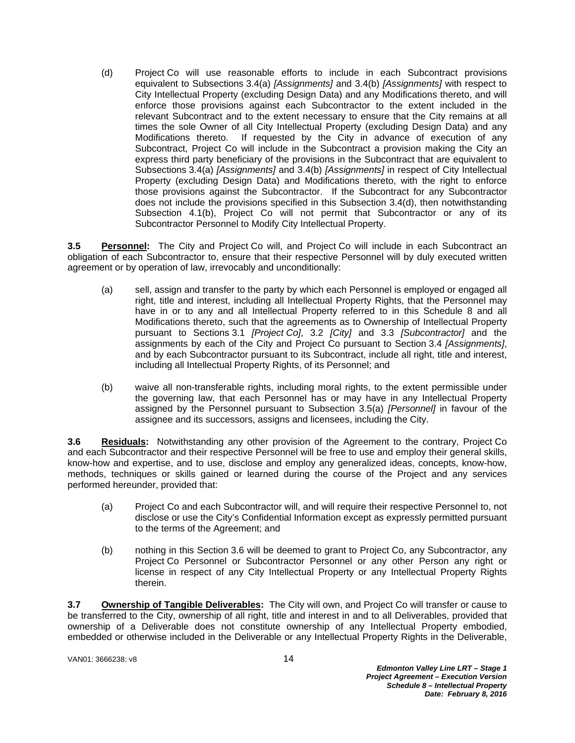(d) Project Co will use reasonable efforts to include in each Subcontract provisions equivalent to Subsections 3.4(a) *[Assignments]* and 3.4(b) *[Assignments]* with respect to City Intellectual Property (excluding Design Data) and any Modifications thereto, and will enforce those provisions against each Subcontractor to the extent included in the relevant Subcontract and to the extent necessary to ensure that the City remains at all times the sole Owner of all City Intellectual Property (excluding Design Data) and any Modifications thereto. If requested by the City in advance of execution of any Subcontract, Project Co will include in the Subcontract a provision making the City an express third party beneficiary of the provisions in the Subcontract that are equivalent to Subsections 3.4(a) *[Assignments]* and 3.4(b) *[Assignments]* in respect of City Intellectual Property (excluding Design Data) and Modifications thereto, with the right to enforce those provisions against the Subcontractor. If the Subcontract for any Subcontractor does not include the provisions specified in this Subsection 3.4(d), then notwithstanding Subsection 4.1(b), Project Co will not permit that Subcontractor or any of its Subcontractor Personnel to Modify City Intellectual Property.

**3.5 Personnel:** The City and Project Co will, and Project Co will include in each Subcontract an obligation of each Subcontractor to, ensure that their respective Personnel will by duly executed written agreement or by operation of law, irrevocably and unconditionally:

- (a) sell, assign and transfer to the party by which each Personnel is employed or engaged all right, title and interest, including all Intellectual Property Rights, that the Personnel may have in or to any and all Intellectual Property referred to in this Schedule 8 and all Modifications thereto, such that the agreements as to Ownership of Intellectual Property pursuant to Sections 3.1 *[Project Co]*, 3.2 *[City]* and 3.3 *[Subcontractor]* and the assignments by each of the City and Project Co pursuant to Section 3.4 *[Assignments]*, and by each Subcontractor pursuant to its Subcontract, include all right, title and interest, including all Intellectual Property Rights, of its Personnel; and
- (b) waive all non-transferable rights, including moral rights, to the extent permissible under the governing law, that each Personnel has or may have in any Intellectual Property assigned by the Personnel pursuant to Subsection 3.5(a) *[Personnel]* in favour of the assignee and its successors, assigns and licensees, including the City.

**3.6 Residuals:** Notwithstanding any other provision of the Agreement to the contrary, Project Co and each Subcontractor and their respective Personnel will be free to use and employ their general skills, know-how and expertise, and to use, disclose and employ any generalized ideas, concepts, know-how, methods, techniques or skills gained or learned during the course of the Project and any services performed hereunder, provided that:

- (a) Project Co and each Subcontractor will, and will require their respective Personnel to, not disclose or use the City's Confidential Information except as expressly permitted pursuant to the terms of the Agreement; and
- (b) nothing in this Section 3.6 will be deemed to grant to Project Co, any Subcontractor, any Project Co Personnel or Subcontractor Personnel or any other Person any right or license in respect of any City Intellectual Property or any Intellectual Property Rights therein.

**3.7 Ownership of Tangible Deliverables:** The City will own, and Project Co will transfer or cause to be transferred to the City, ownership of all right, title and interest in and to all Deliverables, provided that ownership of a Deliverable does not constitute ownership of any Intellectual Property embodied, embedded or otherwise included in the Deliverable or any Intellectual Property Rights in the Deliverable,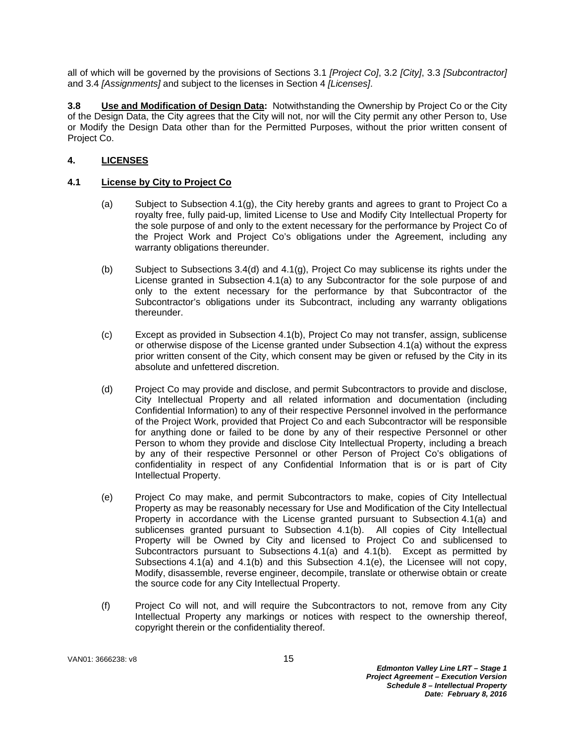all of which will be governed by the provisions of Sections 3.1 *[Project Co]*, 3.2 *[City]*, 3.3 *[Subcontractor]* and 3.4 *[Assignments]* and subject to the licenses in Section 4 *[Licenses]*.

**3.8 Use and Modification of Design Data:** Notwithstanding the Ownership by Project Co or the City of the Design Data, the City agrees that the City will not, nor will the City permit any other Person to, Use or Modify the Design Data other than for the Permitted Purposes, without the prior written consent of Project Co.

# **4. LICENSES**

# **4.1 License by City to Project Co**

- (a) Subject to Subsection 4.1(g), the City hereby grants and agrees to grant to Project Co a royalty free, fully paid-up, limited License to Use and Modify City Intellectual Property for the sole purpose of and only to the extent necessary for the performance by Project Co of the Project Work and Project Co's obligations under the Agreement, including any warranty obligations thereunder.
- (b) Subject to Subsections 3.4(d) and 4.1(g), Project Co may sublicense its rights under the License granted in Subsection 4.1(a) to any Subcontractor for the sole purpose of and only to the extent necessary for the performance by that Subcontractor of the Subcontractor's obligations under its Subcontract, including any warranty obligations thereunder.
- (c) Except as provided in Subsection 4.1(b), Project Co may not transfer, assign, sublicense or otherwise dispose of the License granted under Subsection 4.1(a) without the express prior written consent of the City, which consent may be given or refused by the City in its absolute and unfettered discretion.
- (d) Project Co may provide and disclose, and permit Subcontractors to provide and disclose, City Intellectual Property and all related information and documentation (including Confidential Information) to any of their respective Personnel involved in the performance of the Project Work, provided that Project Co and each Subcontractor will be responsible for anything done or failed to be done by any of their respective Personnel or other Person to whom they provide and disclose City Intellectual Property, including a breach by any of their respective Personnel or other Person of Project Co's obligations of confidentiality in respect of any Confidential Information that is or is part of City Intellectual Property.
- (e) Project Co may make, and permit Subcontractors to make, copies of City Intellectual Property as may be reasonably necessary for Use and Modification of the City Intellectual Property in accordance with the License granted pursuant to Subsection 4.1(a) and sublicenses granted pursuant to Subsection 4.1(b). All copies of City Intellectual Property will be Owned by City and licensed to Project Co and sublicensed to Subcontractors pursuant to Subsections 4.1(a) and 4.1(b). Except as permitted by Subsections 4.1(a) and 4.1(b) and this Subsection 4.1(e), the Licensee will not copy, Modify, disassemble, reverse engineer, decompile, translate or otherwise obtain or create the source code for any City Intellectual Property.
- (f) Project Co will not, and will require the Subcontractors to not, remove from any City Intellectual Property any markings or notices with respect to the ownership thereof, copyright therein or the confidentiality thereof.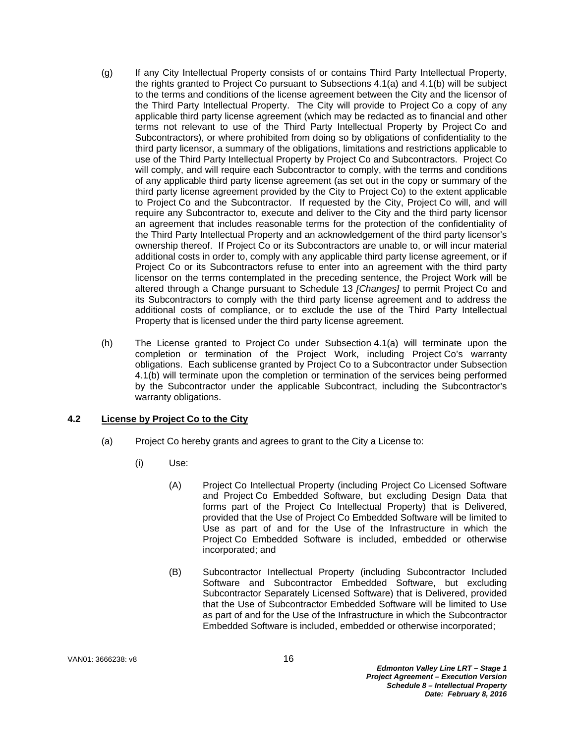- (g) If any City Intellectual Property consists of or contains Third Party Intellectual Property, the rights granted to Project Co pursuant to Subsections 4.1(a) and 4.1(b) will be subject to the terms and conditions of the license agreement between the City and the licensor of the Third Party Intellectual Property. The City will provide to Project Co a copy of any applicable third party license agreement (which may be redacted as to financial and other terms not relevant to use of the Third Party Intellectual Property by Project Co and Subcontractors), or where prohibited from doing so by obligations of confidentiality to the third party licensor, a summary of the obligations, limitations and restrictions applicable to use of the Third Party Intellectual Property by Project Co and Subcontractors. Project Co will comply, and will require each Subcontractor to comply, with the terms and conditions of any applicable third party license agreement (as set out in the copy or summary of the third party license agreement provided by the City to Project Co) to the extent applicable to Project Co and the Subcontractor. If requested by the City, Project Co will, and will require any Subcontractor to, execute and deliver to the City and the third party licensor an agreement that includes reasonable terms for the protection of the confidentiality of the Third Party Intellectual Property and an acknowledgement of the third party licensor's ownership thereof. If Project Co or its Subcontractors are unable to, or will incur material additional costs in order to, comply with any applicable third party license agreement, or if Project Co or its Subcontractors refuse to enter into an agreement with the third party licensor on the terms contemplated in the preceding sentence, the Project Work will be altered through a Change pursuant to Schedule 13 *[Changes]* to permit Project Co and its Subcontractors to comply with the third party license agreement and to address the additional costs of compliance, or to exclude the use of the Third Party Intellectual Property that is licensed under the third party license agreement.
- (h) The License granted to Project Co under Subsection 4.1(a) will terminate upon the completion or termination of the Project Work, including Project Co's warranty obligations. Each sublicense granted by Project Co to a Subcontractor under Subsection 4.1(b) will terminate upon the completion or termination of the services being performed by the Subcontractor under the applicable Subcontract, including the Subcontractor's warranty obligations.

# **4.2 License by Project Co to the City**

- (a) Project Co hereby grants and agrees to grant to the City a License to:
	- (i) Use:
		- (A) Project Co Intellectual Property (including Project Co Licensed Software and Project Co Embedded Software, but excluding Design Data that forms part of the Project Co Intellectual Property) that is Delivered, provided that the Use of Project Co Embedded Software will be limited to Use as part of and for the Use of the Infrastructure in which the Project Co Embedded Software is included, embedded or otherwise incorporated; and
		- (B) Subcontractor Intellectual Property (including Subcontractor Included Software and Subcontractor Embedded Software, but excluding Subcontractor Separately Licensed Software) that is Delivered, provided that the Use of Subcontractor Embedded Software will be limited to Use as part of and for the Use of the Infrastructure in which the Subcontractor Embedded Software is included, embedded or otherwise incorporated;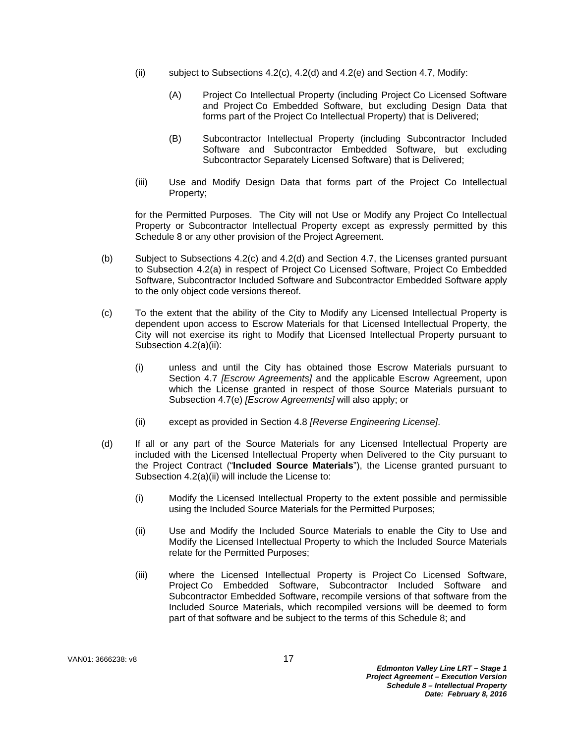- (ii) subject to Subsections  $4.2(c)$ ,  $4.2(d)$  and  $4.2(e)$  and Section 4.7, Modify:
	- (A) Project Co Intellectual Property (including Project Co Licensed Software and Project Co Embedded Software, but excluding Design Data that forms part of the Project Co Intellectual Property) that is Delivered;
	- (B) Subcontractor Intellectual Property (including Subcontractor Included Software and Subcontractor Embedded Software, but excluding Subcontractor Separately Licensed Software) that is Delivered;
- (iii) Use and Modify Design Data that forms part of the Project Co Intellectual Property;

for the Permitted Purposes. The City will not Use or Modify any Project Co Intellectual Property or Subcontractor Intellectual Property except as expressly permitted by this Schedule 8 or any other provision of the Project Agreement.

- (b) Subject to Subsections 4.2(c) and 4.2(d) and Section 4.7, the Licenses granted pursuant to Subsection 4.2(a) in respect of Project Co Licensed Software, Project Co Embedded Software, Subcontractor Included Software and Subcontractor Embedded Software apply to the only object code versions thereof.
- (c) To the extent that the ability of the City to Modify any Licensed Intellectual Property is dependent upon access to Escrow Materials for that Licensed Intellectual Property, the City will not exercise its right to Modify that Licensed Intellectual Property pursuant to Subsection 4.2(a)(ii):
	- (i) unless and until the City has obtained those Escrow Materials pursuant to Section 4.7 *[Escrow Agreements]* and the applicable Escrow Agreement, upon which the License granted in respect of those Source Materials pursuant to Subsection 4.7(e) *[Escrow Agreements]* will also apply; or
	- (ii) except as provided in Section 4.8 *[Reverse Engineering License]*.
- (d) If all or any part of the Source Materials for any Licensed Intellectual Property are included with the Licensed Intellectual Property when Delivered to the City pursuant to the Project Contract ("**Included Source Materials**"), the License granted pursuant to Subsection 4.2(a)(ii) will include the License to:
	- (i) Modify the Licensed Intellectual Property to the extent possible and permissible using the Included Source Materials for the Permitted Purposes;
	- (ii) Use and Modify the Included Source Materials to enable the City to Use and Modify the Licensed Intellectual Property to which the Included Source Materials relate for the Permitted Purposes;
	- (iii) where the Licensed Intellectual Property is Project Co Licensed Software, Project Co Embedded Software, Subcontractor Included Software and Subcontractor Embedded Software, recompile versions of that software from the Included Source Materials, which recompiled versions will be deemed to form part of that software and be subject to the terms of this Schedule 8; and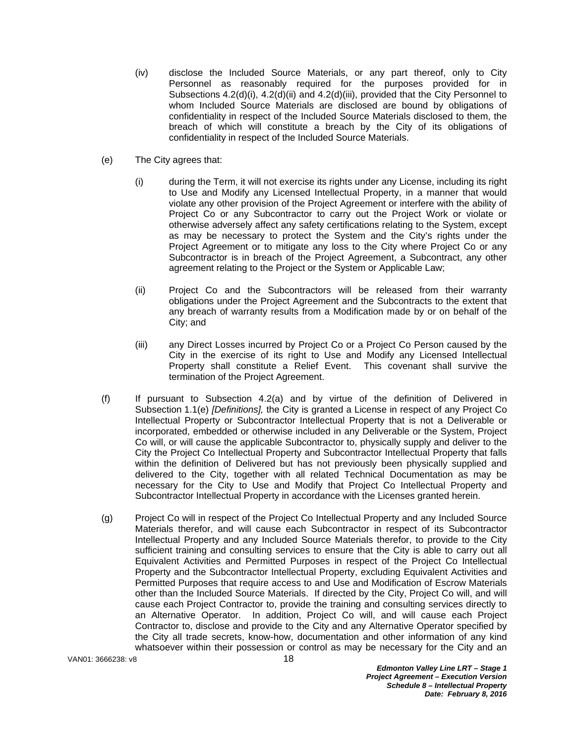- (iv) disclose the Included Source Materials, or any part thereof, only to City Personnel as reasonably required for the purposes provided for in Subsections 4.2(d)(i), 4.2(d)(ii) and 4.2(d)(iii), provided that the City Personnel to whom Included Source Materials are disclosed are bound by obligations of confidentiality in respect of the Included Source Materials disclosed to them, the breach of which will constitute a breach by the City of its obligations of confidentiality in respect of the Included Source Materials.
- (e) The City agrees that:
	- (i) during the Term, it will not exercise its rights under any License, including its right to Use and Modify any Licensed Intellectual Property, in a manner that would violate any other provision of the Project Agreement or interfere with the ability of Project Co or any Subcontractor to carry out the Project Work or violate or otherwise adversely affect any safety certifications relating to the System, except as may be necessary to protect the System and the City's rights under the Project Agreement or to mitigate any loss to the City where Project Co or any Subcontractor is in breach of the Project Agreement, a Subcontract, any other agreement relating to the Project or the System or Applicable Law;
	- (ii) Project Co and the Subcontractors will be released from their warranty obligations under the Project Agreement and the Subcontracts to the extent that any breach of warranty results from a Modification made by or on behalf of the City; and
	- (iii) any Direct Losses incurred by Project Co or a Project Co Person caused by the City in the exercise of its right to Use and Modify any Licensed Intellectual Property shall constitute a Relief Event. This covenant shall survive the termination of the Project Agreement.
- (f) If pursuant to Subsection 4.2(a) and by virtue of the definition of Delivered in Subsection 1.1(e) *[Definitions],* the City is granted a License in respect of any Project Co Intellectual Property or Subcontractor Intellectual Property that is not a Deliverable or incorporated, embedded or otherwise included in any Deliverable or the System, Project Co will, or will cause the applicable Subcontractor to, physically supply and deliver to the City the Project Co Intellectual Property and Subcontractor Intellectual Property that falls within the definition of Delivered but has not previously been physically supplied and delivered to the City, together with all related Technical Documentation as may be necessary for the City to Use and Modify that Project Co Intellectual Property and Subcontractor Intellectual Property in accordance with the Licenses granted herein.
- (g) Project Co will in respect of the Project Co Intellectual Property and any Included Source Materials therefor, and will cause each Subcontractor in respect of its Subcontractor Intellectual Property and any Included Source Materials therefor, to provide to the City sufficient training and consulting services to ensure that the City is able to carry out all Equivalent Activities and Permitted Purposes in respect of the Project Co Intellectual Property and the Subcontractor Intellectual Property, excluding Equivalent Activities and Permitted Purposes that require access to and Use and Modification of Escrow Materials other than the Included Source Materials. If directed by the City, Project Co will, and will cause each Project Contractor to, provide the training and consulting services directly to an Alternative Operator. In addition, Project Co will, and will cause each Project Contractor to, disclose and provide to the City and any Alternative Operator specified by the City all trade secrets, know-how, documentation and other information of any kind whatsoever within their possession or control as may be necessary for the City and an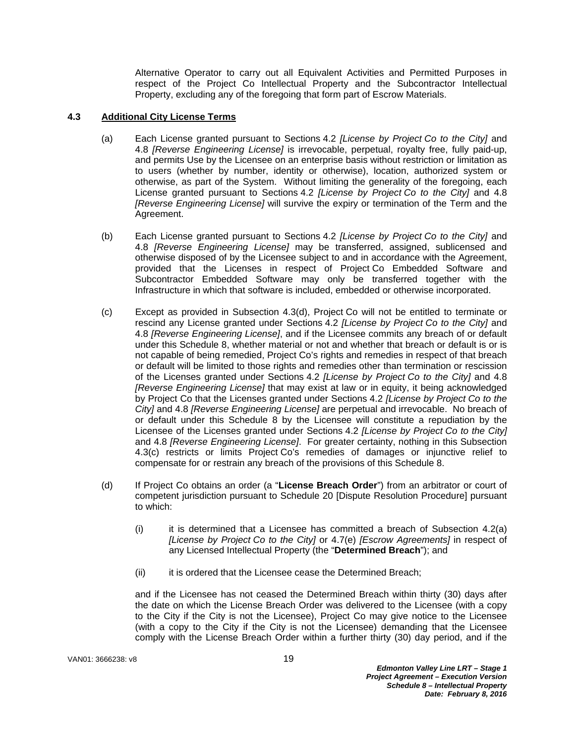Alternative Operator to carry out all Equivalent Activities and Permitted Purposes in respect of the Project Co Intellectual Property and the Subcontractor Intellectual Property, excluding any of the foregoing that form part of Escrow Materials.

### **4.3 Additional City License Terms**

- (a) Each License granted pursuant to Sections 4.2 *[License by Project Co to the City]* and 4.8 *[Reverse Engineering License]* is irrevocable, perpetual, royalty free, fully paid-up, and permits Use by the Licensee on an enterprise basis without restriction or limitation as to users (whether by number, identity or otherwise), location, authorized system or otherwise, as part of the System. Without limiting the generality of the foregoing, each License granted pursuant to Sections 4.2 *[License by Project Co to the City]* and 4.8 *[Reverse Engineering License]* will survive the expiry or termination of the Term and the Agreement.
- (b) Each License granted pursuant to Sections 4.2 *[License by Project Co to the City]* and 4.8 *[Reverse Engineering License]* may be transferred, assigned, sublicensed and otherwise disposed of by the Licensee subject to and in accordance with the Agreement, provided that the Licenses in respect of Project Co Embedded Software and Subcontractor Embedded Software may only be transferred together with the Infrastructure in which that software is included, embedded or otherwise incorporated.
- (c) Except as provided in Subsection 4.3(d), Project Co will not be entitled to terminate or rescind any License granted under Sections 4.2 *[License by Project Co to the City]* and 4.8 *[Reverse Engineering License]*, and if the Licensee commits any breach of or default under this Schedule 8, whether material or not and whether that breach or default is or is not capable of being remedied, Project Co's rights and remedies in respect of that breach or default will be limited to those rights and remedies other than termination or rescission of the Licenses granted under Sections 4.2 *[License by Project Co to the City]* and 4.8 *[Reverse Engineering License]* that may exist at law or in equity, it being acknowledged by Project Co that the Licenses granted under Sections 4.2 *[License by Project Co to the City]* and 4.8 *[Reverse Engineering License]* are perpetual and irrevocable. No breach of or default under this Schedule 8 by the Licensee will constitute a repudiation by the Licensee of the Licenses granted under Sections 4.2 *[License by Project Co to the City]* and 4.8 *[Reverse Engineering License]*. For greater certainty, nothing in this Subsection 4.3(c) restricts or limits Project Co's remedies of damages or injunctive relief to compensate for or restrain any breach of the provisions of this Schedule 8.
- (d) If Project Co obtains an order (a "**License Breach Order**") from an arbitrator or court of competent jurisdiction pursuant to Schedule 20 [Dispute Resolution Procedure] pursuant to which:
	- $(i)$  it is determined that a Licensee has committed a breach of Subsection 4.2(a) *[License by Project Co to the City]* or 4.7(e) *[Escrow Agreements]* in respect of any Licensed Intellectual Property (the "**Determined Breach**"); and
	- (ii) it is ordered that the Licensee cease the Determined Breach;

and if the Licensee has not ceased the Determined Breach within thirty (30) days after the date on which the License Breach Order was delivered to the Licensee (with a copy to the City if the City is not the Licensee), Project Co may give notice to the Licensee (with a copy to the City if the City is not the Licensee) demanding that the Licensee comply with the License Breach Order within a further thirty (30) day period, and if the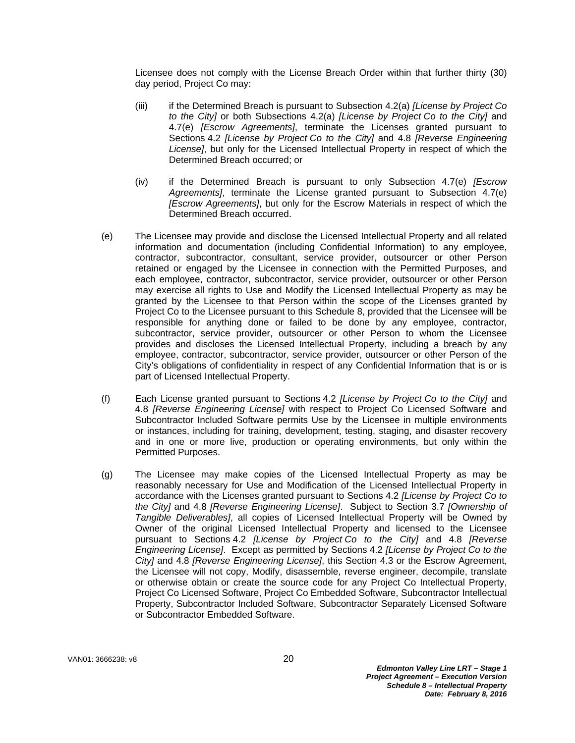Licensee does not comply with the License Breach Order within that further thirty (30) day period, Project Co may:

- (iii) if the Determined Breach is pursuant to Subsection 4.2(a) *[License by Project Co to the City]* or both Subsections 4.2(a) *[License by Project Co to the City]* and 4.7(e) *[Escrow Agreements]*, terminate the Licenses granted pursuant to Sections 4.2 *[License by Project Co to the City]* and 4.8 *[Reverse Engineering License]*, but only for the Licensed Intellectual Property in respect of which the Determined Breach occurred; or
- (iv) if the Determined Breach is pursuant to only Subsection 4.7(e) *[Escrow Agreements]*, terminate the License granted pursuant to Subsection 4.7(e) *[Escrow Agreements]*, but only for the Escrow Materials in respect of which the Determined Breach occurred.
- (e) The Licensee may provide and disclose the Licensed Intellectual Property and all related information and documentation (including Confidential Information) to any employee, contractor, subcontractor, consultant, service provider, outsourcer or other Person retained or engaged by the Licensee in connection with the Permitted Purposes, and each employee, contractor, subcontractor, service provider, outsourcer or other Person may exercise all rights to Use and Modify the Licensed Intellectual Property as may be granted by the Licensee to that Person within the scope of the Licenses granted by Project Co to the Licensee pursuant to this Schedule 8, provided that the Licensee will be responsible for anything done or failed to be done by any employee, contractor, subcontractor, service provider, outsourcer or other Person to whom the Licensee provides and discloses the Licensed Intellectual Property, including a breach by any employee, contractor, subcontractor, service provider, outsourcer or other Person of the City's obligations of confidentiality in respect of any Confidential Information that is or is part of Licensed Intellectual Property.
- (f) Each License granted pursuant to Sections 4.2 *[License by Project Co to the City]* and 4.8 *[Reverse Engineering License]* with respect to Project Co Licensed Software and Subcontractor Included Software permits Use by the Licensee in multiple environments or instances, including for training, development, testing, staging, and disaster recovery and in one or more live, production or operating environments, but only within the Permitted Purposes.
- (g) The Licensee may make copies of the Licensed Intellectual Property as may be reasonably necessary for Use and Modification of the Licensed Intellectual Property in accordance with the Licenses granted pursuant to Sections 4.2 *[License by Project Co to the City]* and 4.8 *[Reverse Engineering License]*. Subject to Section 3.7 *[Ownership of Tangible Deliverables]*, all copies of Licensed Intellectual Property will be Owned by Owner of the original Licensed Intellectual Property and licensed to the Licensee pursuant to Sections 4.2 *[License by Project Co to the City]* and 4.8 *[Reverse Engineering License]*. Except as permitted by Sections 4.2 *[License by Project Co to the City]* and 4.8 *[Reverse Engineering License]*, this Section 4.3 or the Escrow Agreement, the Licensee will not copy, Modify, disassemble, reverse engineer, decompile, translate or otherwise obtain or create the source code for any Project Co Intellectual Property, Project Co Licensed Software, Project Co Embedded Software, Subcontractor Intellectual Property, Subcontractor Included Software, Subcontractor Separately Licensed Software or Subcontractor Embedded Software.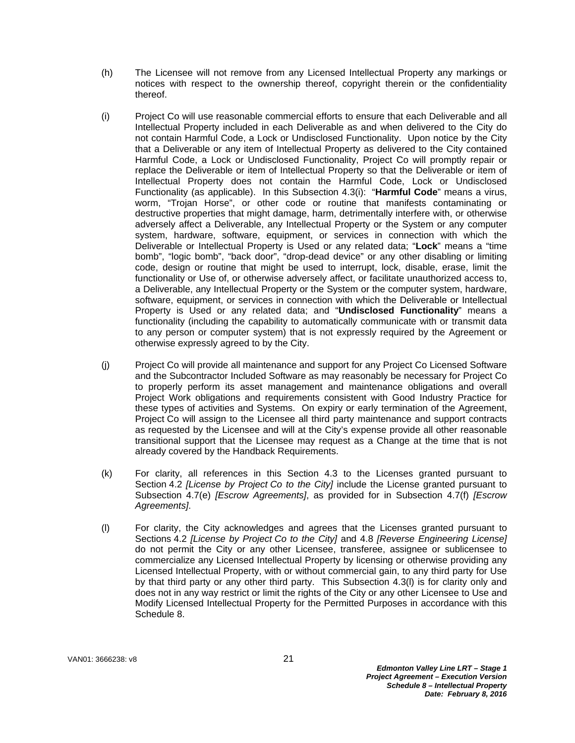- (h) The Licensee will not remove from any Licensed Intellectual Property any markings or notices with respect to the ownership thereof, copyright therein or the confidentiality thereof.
- (i) Project Co will use reasonable commercial efforts to ensure that each Deliverable and all Intellectual Property included in each Deliverable as and when delivered to the City do not contain Harmful Code, a Lock or Undisclosed Functionality. Upon notice by the City that a Deliverable or any item of Intellectual Property as delivered to the City contained Harmful Code, a Lock or Undisclosed Functionality, Project Co will promptly repair or replace the Deliverable or item of Intellectual Property so that the Deliverable or item of Intellectual Property does not contain the Harmful Code, Lock or Undisclosed Functionality (as applicable). In this Subsection 4.3(i): "**Harmful Code**" means a virus, worm, "Trojan Horse", or other code or routine that manifests contaminating or destructive properties that might damage, harm, detrimentally interfere with, or otherwise adversely affect a Deliverable, any Intellectual Property or the System or any computer system, hardware, software, equipment, or services in connection with which the Deliverable or Intellectual Property is Used or any related data; "**Lock**" means a "time bomb", "logic bomb", "back door", "drop-dead device" or any other disabling or limiting code, design or routine that might be used to interrupt, lock, disable, erase, limit the functionality or Use of, or otherwise adversely affect, or facilitate unauthorized access to, a Deliverable, any Intellectual Property or the System or the computer system, hardware, software, equipment, or services in connection with which the Deliverable or Intellectual Property is Used or any related data; and "**Undisclosed Functionality**" means a functionality (including the capability to automatically communicate with or transmit data to any person or computer system) that is not expressly required by the Agreement or otherwise expressly agreed to by the City.
- (j) Project Co will provide all maintenance and support for any Project Co Licensed Software and the Subcontractor Included Software as may reasonably be necessary for Project Co to properly perform its asset management and maintenance obligations and overall Project Work obligations and requirements consistent with Good Industry Practice for these types of activities and Systems. On expiry or early termination of the Agreement, Project Co will assign to the Licensee all third party maintenance and support contracts as requested by the Licensee and will at the City's expense provide all other reasonable transitional support that the Licensee may request as a Change at the time that is not already covered by the Handback Requirements.
- (k) For clarity, all references in this Section 4.3 to the Licenses granted pursuant to Section 4.2 *[License by Project Co to the City]* include the License granted pursuant to Subsection 4.7(e) *[Escrow Agreements]*, as provided for in Subsection 4.7(f) *[Escrow Agreements]*.
- (l) For clarity, the City acknowledges and agrees that the Licenses granted pursuant to Sections 4.2 *[License by Project Co to the City]* and 4.8 *[Reverse Engineering License]* do not permit the City or any other Licensee, transferee, assignee or sublicensee to commercialize any Licensed Intellectual Property by licensing or otherwise providing any Licensed Intellectual Property, with or without commercial gain, to any third party for Use by that third party or any other third party. This Subsection 4.3(l) is for clarity only and does not in any way restrict or limit the rights of the City or any other Licensee to Use and Modify Licensed Intellectual Property for the Permitted Purposes in accordance with this Schedule 8.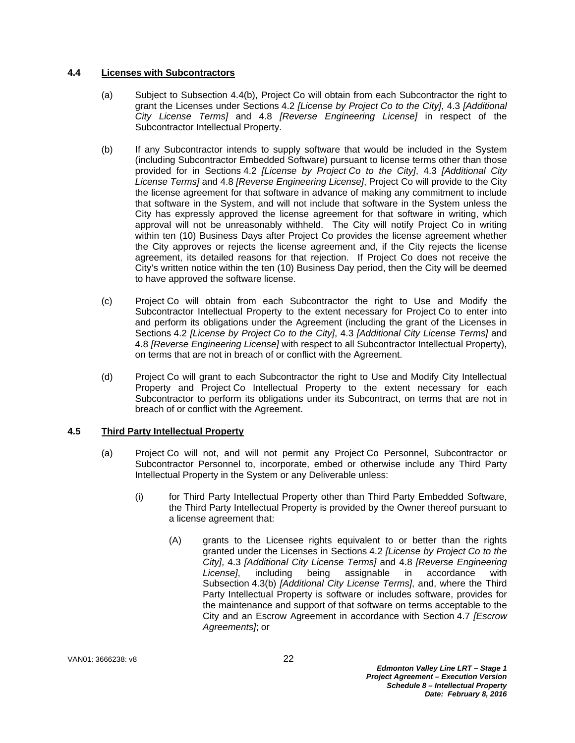## **4.4 Licenses with Subcontractors**

- (a) Subject to Subsection 4.4(b), Project Co will obtain from each Subcontractor the right to grant the Licenses under Sections 4.2 *[License by Project Co to the City]*, 4.3 *[Additional City License Terms]* and 4.8 *[Reverse Engineering License]* in respect of the Subcontractor Intellectual Property.
- (b) If any Subcontractor intends to supply software that would be included in the System (including Subcontractor Embedded Software) pursuant to license terms other than those provided for in Sections 4.2 *[License by Project Co to the City]*, 4.3 *[Additional City License Terms]* and 4.8 *[Reverse Engineering License]*, Project Co will provide to the City the license agreement for that software in advance of making any commitment to include that software in the System, and will not include that software in the System unless the City has expressly approved the license agreement for that software in writing, which approval will not be unreasonably withheld. The City will notify Project Co in writing within ten (10) Business Days after Project Co provides the license agreement whether the City approves or rejects the license agreement and, if the City rejects the license agreement, its detailed reasons for that rejection. If Project Co does not receive the City's written notice within the ten (10) Business Day period, then the City will be deemed to have approved the software license.
- (c) Project Co will obtain from each Subcontractor the right to Use and Modify the Subcontractor Intellectual Property to the extent necessary for Project Co to enter into and perform its obligations under the Agreement (including the grant of the Licenses in Sections 4.2 *[License by Project Co to the City]*, 4.3 *[Additional City License Terms]* and 4.8 *[Reverse Engineering License]* with respect to all Subcontractor Intellectual Property), on terms that are not in breach of or conflict with the Agreement.
- (d) Project Co will grant to each Subcontractor the right to Use and Modify City Intellectual Property and Project Co Intellectual Property to the extent necessary for each Subcontractor to perform its obligations under its Subcontract, on terms that are not in breach of or conflict with the Agreement.

# **4.5 Third Party Intellectual Property**

- (a) Project Co will not, and will not permit any Project Co Personnel, Subcontractor or Subcontractor Personnel to, incorporate, embed or otherwise include any Third Party Intellectual Property in the System or any Deliverable unless:
	- (i) for Third Party Intellectual Property other than Third Party Embedded Software, the Third Party Intellectual Property is provided by the Owner thereof pursuant to a license agreement that:
		- (A) grants to the Licensee rights equivalent to or better than the rights granted under the Licenses in Sections 4.2 *[License by Project Co to the City]*, 4.3 *[Additional City License Terms]* and 4.8 *[Reverse Engineering License]*, including being assignable in accordance with Subsection 4.3(b) *[Additional City License Terms]*, and, where the Third Party Intellectual Property is software or includes software, provides for the maintenance and support of that software on terms acceptable to the City and an Escrow Agreement in accordance with Section 4.7 *[Escrow Agreements]*; or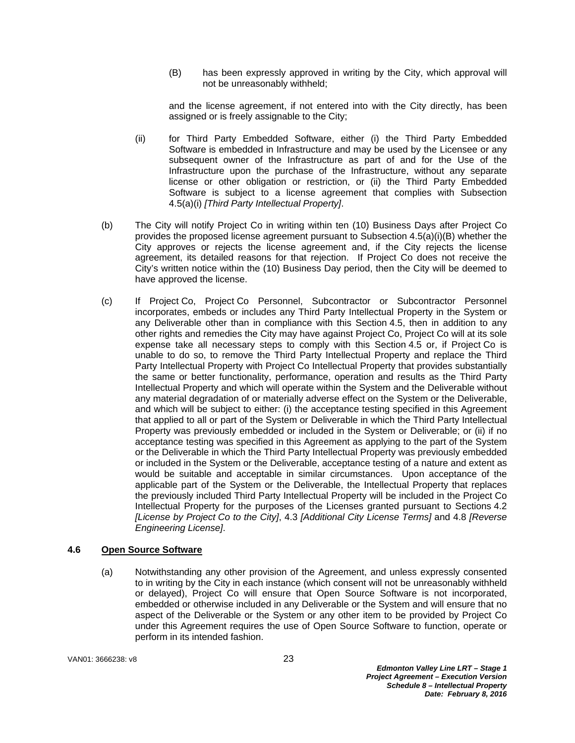(B) has been expressly approved in writing by the City, which approval will not be unreasonably withheld;

and the license agreement, if not entered into with the City directly, has been assigned or is freely assignable to the City;

- (ii) for Third Party Embedded Software, either (i) the Third Party Embedded Software is embedded in Infrastructure and may be used by the Licensee or any subsequent owner of the Infrastructure as part of and for the Use of the Infrastructure upon the purchase of the Infrastructure, without any separate license or other obligation or restriction, or (ii) the Third Party Embedded Software is subject to a license agreement that complies with Subsection 4.5(a)(i) *[Third Party Intellectual Property]*.
- (b) The City will notify Project Co in writing within ten (10) Business Days after Project Co provides the proposed license agreement pursuant to Subsection 4.5(a)(i)(B) whether the City approves or rejects the license agreement and, if the City rejects the license agreement, its detailed reasons for that rejection. If Project Co does not receive the City's written notice within the (10) Business Day period, then the City will be deemed to have approved the license.
- (c) If Project Co, Project Co Personnel, Subcontractor or Subcontractor Personnel incorporates, embeds or includes any Third Party Intellectual Property in the System or any Deliverable other than in compliance with this Section 4.5, then in addition to any other rights and remedies the City may have against Project Co, Project Co will at its sole expense take all necessary steps to comply with this Section 4.5 or, if Project Co is unable to do so, to remove the Third Party Intellectual Property and replace the Third Party Intellectual Property with Project Co Intellectual Property that provides substantially the same or better functionality, performance, operation and results as the Third Party Intellectual Property and which will operate within the System and the Deliverable without any material degradation of or materially adverse effect on the System or the Deliverable, and which will be subject to either: (i) the acceptance testing specified in this Agreement that applied to all or part of the System or Deliverable in which the Third Party Intellectual Property was previously embedded or included in the System or Deliverable; or (ii) if no acceptance testing was specified in this Agreement as applying to the part of the System or the Deliverable in which the Third Party Intellectual Property was previously embedded or included in the System or the Deliverable, acceptance testing of a nature and extent as would be suitable and acceptable in similar circumstances. Upon acceptance of the applicable part of the System or the Deliverable, the Intellectual Property that replaces the previously included Third Party Intellectual Property will be included in the Project Co Intellectual Property for the purposes of the Licenses granted pursuant to Sections 4.2 *[License by Project Co to the City]*, 4.3 *[Additional City License Terms]* and 4.8 *[Reverse Engineering License]*.

# **4.6 Open Source Software**

(a) Notwithstanding any other provision of the Agreement, and unless expressly consented to in writing by the City in each instance (which consent will not be unreasonably withheld or delayed), Project Co will ensure that Open Source Software is not incorporated, embedded or otherwise included in any Deliverable or the System and will ensure that no aspect of the Deliverable or the System or any other item to be provided by Project Co under this Agreement requires the use of Open Source Software to function, operate or perform in its intended fashion.

VAN01: 3666238: v8 23

*Edmonton Valley Line LRT – Stage 1 Project Agreement – Execution Version Schedule 8 – Intellectual Property Date: February 8, 2016*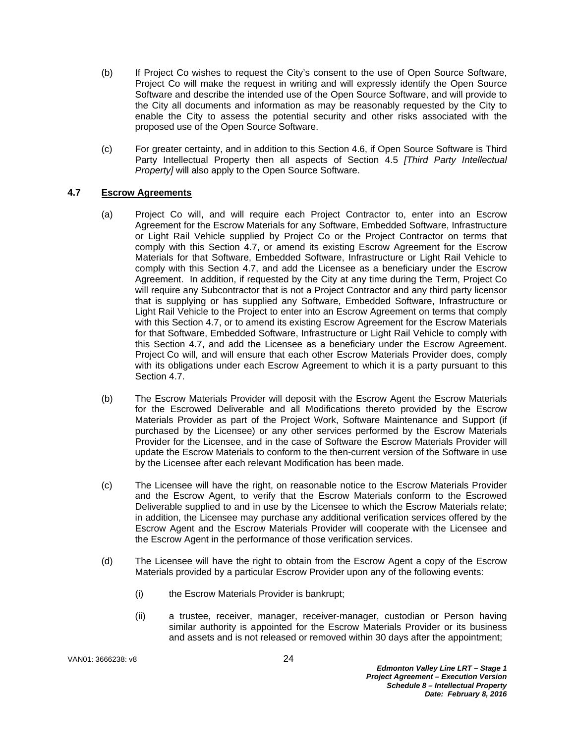- (b) If Project Co wishes to request the City's consent to the use of Open Source Software, Project Co will make the request in writing and will expressly identify the Open Source Software and describe the intended use of the Open Source Software, and will provide to the City all documents and information as may be reasonably requested by the City to enable the City to assess the potential security and other risks associated with the proposed use of the Open Source Software.
- (c) For greater certainty, and in addition to this Section 4.6, if Open Source Software is Third Party Intellectual Property then all aspects of Section 4.5 *[Third Party Intellectual Property]* will also apply to the Open Source Software.

# **4.7 Escrow Agreements**

- (a) Project Co will, and will require each Project Contractor to, enter into an Escrow Agreement for the Escrow Materials for any Software, Embedded Software, Infrastructure or Light Rail Vehicle supplied by Project Co or the Project Contractor on terms that comply with this Section 4.7, or amend its existing Escrow Agreement for the Escrow Materials for that Software, Embedded Software, Infrastructure or Light Rail Vehicle to comply with this Section 4.7, and add the Licensee as a beneficiary under the Escrow Agreement. In addition, if requested by the City at any time during the Term, Project Co will require any Subcontractor that is not a Project Contractor and any third party licensor that is supplying or has supplied any Software, Embedded Software, Infrastructure or Light Rail Vehicle to the Project to enter into an Escrow Agreement on terms that comply with this Section 4.7, or to amend its existing Escrow Agreement for the Escrow Materials for that Software, Embedded Software, Infrastructure or Light Rail Vehicle to comply with this Section 4.7, and add the Licensee as a beneficiary under the Escrow Agreement. Project Co will, and will ensure that each other Escrow Materials Provider does, comply with its obligations under each Escrow Agreement to which it is a party pursuant to this Section 4.7.
- (b) The Escrow Materials Provider will deposit with the Escrow Agent the Escrow Materials for the Escrowed Deliverable and all Modifications thereto provided by the Escrow Materials Provider as part of the Project Work, Software Maintenance and Support (if purchased by the Licensee) or any other services performed by the Escrow Materials Provider for the Licensee, and in the case of Software the Escrow Materials Provider will update the Escrow Materials to conform to the then-current version of the Software in use by the Licensee after each relevant Modification has been made.
- (c) The Licensee will have the right, on reasonable notice to the Escrow Materials Provider and the Escrow Agent, to verify that the Escrow Materials conform to the Escrowed Deliverable supplied to and in use by the Licensee to which the Escrow Materials relate; in addition, the Licensee may purchase any additional verification services offered by the Escrow Agent and the Escrow Materials Provider will cooperate with the Licensee and the Escrow Agent in the performance of those verification services.
- (d) The Licensee will have the right to obtain from the Escrow Agent a copy of the Escrow Materials provided by a particular Escrow Provider upon any of the following events:
	- (i) the Escrow Materials Provider is bankrupt;
	- (ii) a trustee, receiver, manager, receiver-manager, custodian or Person having similar authority is appointed for the Escrow Materials Provider or its business and assets and is not released or removed within 30 days after the appointment;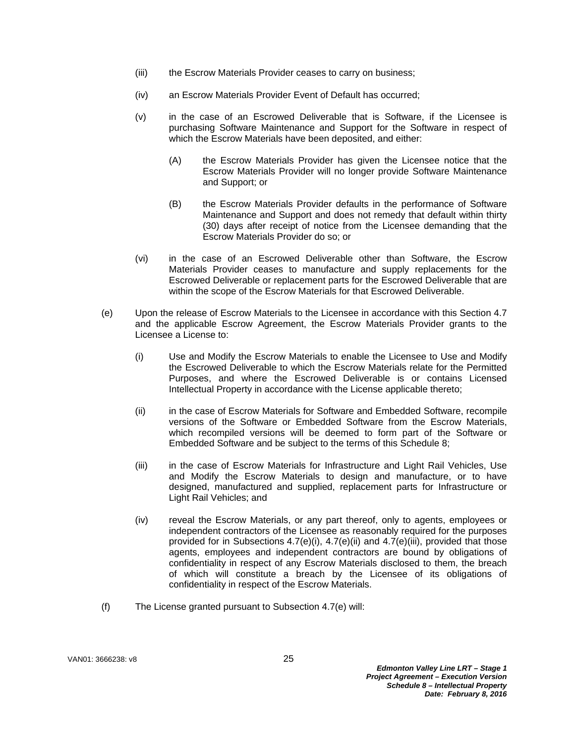- (iii) the Escrow Materials Provider ceases to carry on business;
- (iv) an Escrow Materials Provider Event of Default has occurred;
- (v) in the case of an Escrowed Deliverable that is Software, if the Licensee is purchasing Software Maintenance and Support for the Software in respect of which the Escrow Materials have been deposited, and either:
	- (A) the Escrow Materials Provider has given the Licensee notice that the Escrow Materials Provider will no longer provide Software Maintenance and Support; or
	- (B) the Escrow Materials Provider defaults in the performance of Software Maintenance and Support and does not remedy that default within thirty (30) days after receipt of notice from the Licensee demanding that the Escrow Materials Provider do so; or
- (vi) in the case of an Escrowed Deliverable other than Software, the Escrow Materials Provider ceases to manufacture and supply replacements for the Escrowed Deliverable or replacement parts for the Escrowed Deliverable that are within the scope of the Escrow Materials for that Escrowed Deliverable.
- (e) Upon the release of Escrow Materials to the Licensee in accordance with this Section 4.7 and the applicable Escrow Agreement, the Escrow Materials Provider grants to the Licensee a License to:
	- (i) Use and Modify the Escrow Materials to enable the Licensee to Use and Modify the Escrowed Deliverable to which the Escrow Materials relate for the Permitted Purposes, and where the Escrowed Deliverable is or contains Licensed Intellectual Property in accordance with the License applicable thereto;
	- (ii) in the case of Escrow Materials for Software and Embedded Software, recompile versions of the Software or Embedded Software from the Escrow Materials, which recompiled versions will be deemed to form part of the Software or Embedded Software and be subject to the terms of this Schedule 8;
	- (iii) in the case of Escrow Materials for Infrastructure and Light Rail Vehicles, Use and Modify the Escrow Materials to design and manufacture, or to have designed, manufactured and supplied, replacement parts for Infrastructure or Light Rail Vehicles; and
	- (iv) reveal the Escrow Materials, or any part thereof, only to agents, employees or independent contractors of the Licensee as reasonably required for the purposes provided for in Subsections 4.7(e)(i), 4.7(e)(ii) and 4.7(e)(iii), provided that those agents, employees and independent contractors are bound by obligations of confidentiality in respect of any Escrow Materials disclosed to them, the breach of which will constitute a breach by the Licensee of its obligations of confidentiality in respect of the Escrow Materials.
- (f) The License granted pursuant to Subsection 4.7(e) will: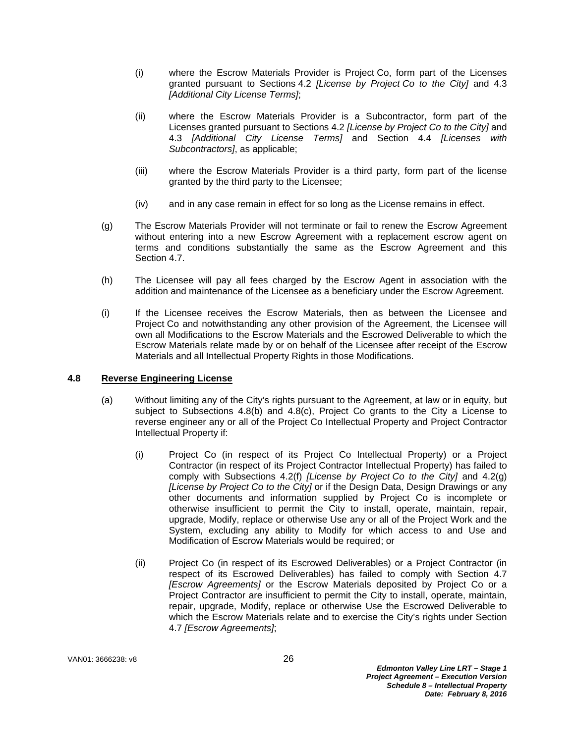- (i) where the Escrow Materials Provider is Project Co, form part of the Licenses granted pursuant to Sections 4.2 *[License by Project Co to the City]* and 4.3 *[Additional City License Terms]*;
- (ii) where the Escrow Materials Provider is a Subcontractor, form part of the Licenses granted pursuant to Sections 4.2 *[License by Project Co to the City]* and 4.3 *[Additional City License Terms]* and Section 4.4 *[Licenses with Subcontractors]*, as applicable;
- (iii) where the Escrow Materials Provider is a third party, form part of the license granted by the third party to the Licensee;
- (iv) and in any case remain in effect for so long as the License remains in effect.
- (g) The Escrow Materials Provider will not terminate or fail to renew the Escrow Agreement without entering into a new Escrow Agreement with a replacement escrow agent on terms and conditions substantially the same as the Escrow Agreement and this Section 4.7.
- (h) The Licensee will pay all fees charged by the Escrow Agent in association with the addition and maintenance of the Licensee as a beneficiary under the Escrow Agreement.
- (i) If the Licensee receives the Escrow Materials, then as between the Licensee and Project Co and notwithstanding any other provision of the Agreement, the Licensee will own all Modifications to the Escrow Materials and the Escrowed Deliverable to which the Escrow Materials relate made by or on behalf of the Licensee after receipt of the Escrow Materials and all Intellectual Property Rights in those Modifications.

#### **4.8 Reverse Engineering License**

- (a) Without limiting any of the City's rights pursuant to the Agreement, at law or in equity, but subject to Subsections 4.8(b) and 4.8(c), Project Co grants to the City a License to reverse engineer any or all of the Project Co Intellectual Property and Project Contractor Intellectual Property if:
	- (i) Project Co (in respect of its Project Co Intellectual Property) or a Project Contractor (in respect of its Project Contractor Intellectual Property) has failed to comply with Subsections 4.2(f) *[License by Project Co to the City]* and 4.2(g) *[License by Project Co to the City]* or if the Design Data, Design Drawings or any other documents and information supplied by Project Co is incomplete or otherwise insufficient to permit the City to install, operate, maintain, repair, upgrade, Modify, replace or otherwise Use any or all of the Project Work and the System, excluding any ability to Modify for which access to and Use and Modification of Escrow Materials would be required; or
	- (ii) Project Co (in respect of its Escrowed Deliverables) or a Project Contractor (in respect of its Escrowed Deliverables) has failed to comply with Section 4.7 *[Escrow Agreements]* or the Escrow Materials deposited by Project Co or a Project Contractor are insufficient to permit the City to install, operate, maintain, repair, upgrade, Modify, replace or otherwise Use the Escrowed Deliverable to which the Escrow Materials relate and to exercise the City's rights under Section 4.7 *[Escrow Agreements]*;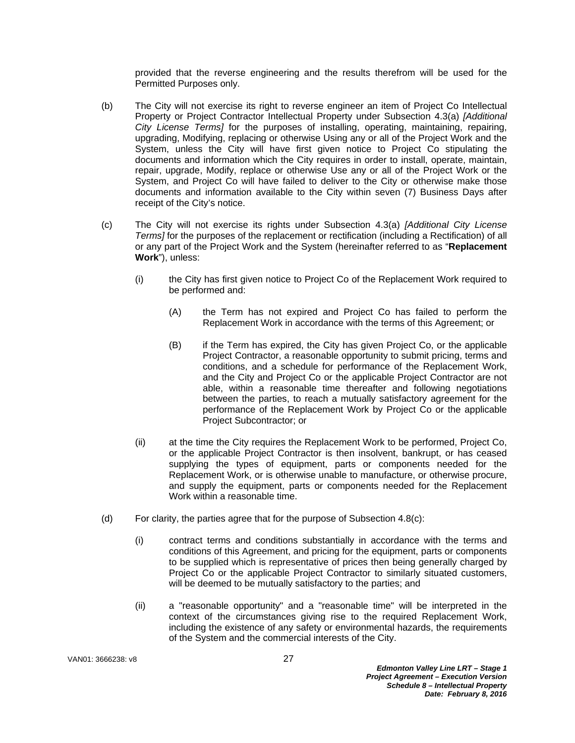provided that the reverse engineering and the results therefrom will be used for the Permitted Purposes only.

- (b) The City will not exercise its right to reverse engineer an item of Project Co Intellectual Property or Project Contractor Intellectual Property under Subsection 4.3(a) *[Additional City License Terms]* for the purposes of installing, operating, maintaining, repairing, upgrading, Modifying, replacing or otherwise Using any or all of the Project Work and the System, unless the City will have first given notice to Project Co stipulating the documents and information which the City requires in order to install, operate, maintain, repair, upgrade, Modify, replace or otherwise Use any or all of the Project Work or the System, and Project Co will have failed to deliver to the City or otherwise make those documents and information available to the City within seven (7) Business Days after receipt of the City's notice.
- (c) The City will not exercise its rights under Subsection 4.3(a) *[Additional City License Terms]* for the purposes of the replacement or rectification (including a Rectification) of all or any part of the Project Work and the System (hereinafter referred to as "**Replacement Work**"), unless:
	- (i) the City has first given notice to Project Co of the Replacement Work required to be performed and:
		- (A) the Term has not expired and Project Co has failed to perform the Replacement Work in accordance with the terms of this Agreement; or
		- (B) if the Term has expired, the City has given Project Co, or the applicable Project Contractor, a reasonable opportunity to submit pricing, terms and conditions, and a schedule for performance of the Replacement Work, and the City and Project Co or the applicable Project Contractor are not able, within a reasonable time thereafter and following negotiations between the parties, to reach a mutually satisfactory agreement for the performance of the Replacement Work by Project Co or the applicable Project Subcontractor; or
	- (ii) at the time the City requires the Replacement Work to be performed, Project Co, or the applicable Project Contractor is then insolvent, bankrupt, or has ceased supplying the types of equipment, parts or components needed for the Replacement Work, or is otherwise unable to manufacture, or otherwise procure, and supply the equipment, parts or components needed for the Replacement Work within a reasonable time.
- (d) For clarity, the parties agree that for the purpose of Subsection 4.8(c):
	- (i) contract terms and conditions substantially in accordance with the terms and conditions of this Agreement, and pricing for the equipment, parts or components to be supplied which is representative of prices then being generally charged by Project Co or the applicable Project Contractor to similarly situated customers, will be deemed to be mutually satisfactory to the parties; and
	- (ii) a "reasonable opportunity" and a "reasonable time" will be interpreted in the context of the circumstances giving rise to the required Replacement Work, including the existence of any safety or environmental hazards, the requirements of the System and the commercial interests of the City.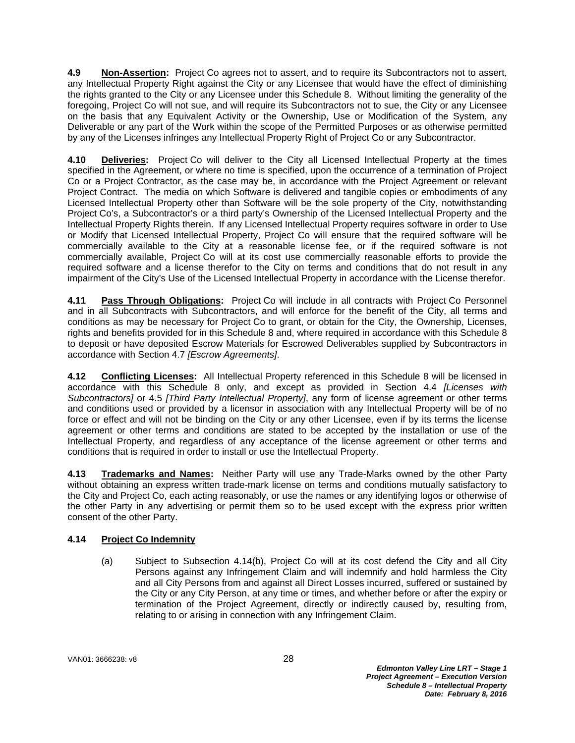**4.9 Non-Assertion:** Project Co agrees not to assert, and to require its Subcontractors not to assert, any Intellectual Property Right against the City or any Licensee that would have the effect of diminishing the rights granted to the City or any Licensee under this Schedule 8. Without limiting the generality of the foregoing, Project Co will not sue, and will require its Subcontractors not to sue, the City or any Licensee on the basis that any Equivalent Activity or the Ownership, Use or Modification of the System, any Deliverable or any part of the Work within the scope of the Permitted Purposes or as otherwise permitted by any of the Licenses infringes any Intellectual Property Right of Project Co or any Subcontractor.

**4.10 Deliveries:** Project Co will deliver to the City all Licensed Intellectual Property at the times specified in the Agreement, or where no time is specified, upon the occurrence of a termination of Project Co or a Project Contractor, as the case may be, in accordance with the Project Agreement or relevant Project Contract. The media on which Software is delivered and tangible copies or embodiments of any Licensed Intellectual Property other than Software will be the sole property of the City, notwithstanding Project Co's, a Subcontractor's or a third party's Ownership of the Licensed Intellectual Property and the Intellectual Property Rights therein. If any Licensed Intellectual Property requires software in order to Use or Modify that Licensed Intellectual Property, Project Co will ensure that the required software will be commercially available to the City at a reasonable license fee, or if the required software is not commercially available, Project Co will at its cost use commercially reasonable efforts to provide the required software and a license therefor to the City on terms and conditions that do not result in any impairment of the City's Use of the Licensed Intellectual Property in accordance with the License therefor.

**4.11 Pass Through Obligations:** Project Co will include in all contracts with Project Co Personnel and in all Subcontracts with Subcontractors, and will enforce for the benefit of the City, all terms and conditions as may be necessary for Project Co to grant, or obtain for the City, the Ownership, Licenses, rights and benefits provided for in this Schedule 8 and, where required in accordance with this Schedule 8 to deposit or have deposited Escrow Materials for Escrowed Deliverables supplied by Subcontractors in accordance with Section 4.7 *[Escrow Agreements]*.

**4.12 Conflicting Licenses:** All Intellectual Property referenced in this Schedule 8 will be licensed in accordance with this Schedule 8 only, and except as provided in Section 4.4 *[Licenses with Subcontractors]* or 4.5 *[Third Party Intellectual Property]*, any form of license agreement or other terms and conditions used or provided by a licensor in association with any Intellectual Property will be of no force or effect and will not be binding on the City or any other Licensee, even if by its terms the license agreement or other terms and conditions are stated to be accepted by the installation or use of the Intellectual Property, and regardless of any acceptance of the license agreement or other terms and conditions that is required in order to install or use the Intellectual Property.

**4.13 Trademarks and Names:** Neither Party will use any Trade-Marks owned by the other Party without obtaining an express written trade-mark license on terms and conditions mutually satisfactory to the City and Project Co, each acting reasonably, or use the names or any identifying logos or otherwise of the other Party in any advertising or permit them so to be used except with the express prior written consent of the other Party.

# **4.14 Project Co Indemnity**

(a) Subject to Subsection 4.14(b), Project Co will at its cost defend the City and all City Persons against any Infringement Claim and will indemnify and hold harmless the City and all City Persons from and against all Direct Losses incurred, suffered or sustained by the City or any City Person, at any time or times, and whether before or after the expiry or termination of the Project Agreement, directly or indirectly caused by, resulting from, relating to or arising in connection with any Infringement Claim.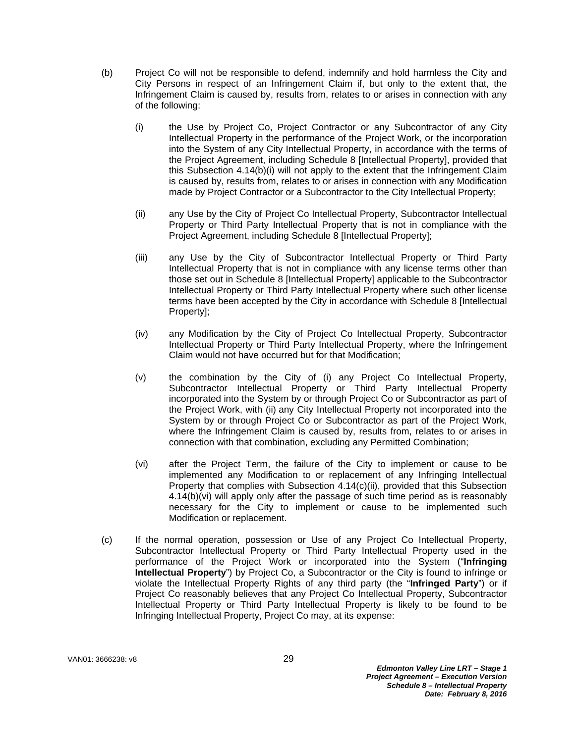- (b) Project Co will not be responsible to defend, indemnify and hold harmless the City and City Persons in respect of an Infringement Claim if, but only to the extent that, the Infringement Claim is caused by, results from, relates to or arises in connection with any of the following:
	- (i) the Use by Project Co, Project Contractor or any Subcontractor of any City Intellectual Property in the performance of the Project Work, or the incorporation into the System of any City Intellectual Property, in accordance with the terms of the Project Agreement, including Schedule 8 [Intellectual Property], provided that this Subsection 4.14(b)(i) will not apply to the extent that the Infringement Claim is caused by, results from, relates to or arises in connection with any Modification made by Project Contractor or a Subcontractor to the City Intellectual Property;
	- (ii) any Use by the City of Project Co Intellectual Property, Subcontractor Intellectual Property or Third Party Intellectual Property that is not in compliance with the Project Agreement, including Schedule 8 [Intellectual Property];
	- (iii) any Use by the City of Subcontractor Intellectual Property or Third Party Intellectual Property that is not in compliance with any license terms other than those set out in Schedule 8 [Intellectual Property] applicable to the Subcontractor Intellectual Property or Third Party Intellectual Property where such other license terms have been accepted by the City in accordance with Schedule 8 [Intellectual Property];
	- (iv) any Modification by the City of Project Co Intellectual Property, Subcontractor Intellectual Property or Third Party Intellectual Property, where the Infringement Claim would not have occurred but for that Modification;
	- (v) the combination by the City of (i) any Project Co Intellectual Property, Subcontractor Intellectual Property or Third Party Intellectual Property incorporated into the System by or through Project Co or Subcontractor as part of the Project Work, with (ii) any City Intellectual Property not incorporated into the System by or through Project Co or Subcontractor as part of the Project Work, where the Infringement Claim is caused by, results from, relates to or arises in connection with that combination, excluding any Permitted Combination;
	- (vi) after the Project Term, the failure of the City to implement or cause to be implemented any Modification to or replacement of any Infringing Intellectual Property that complies with Subsection 4.14(c)(ii), provided that this Subsection 4.14(b)(vi) will apply only after the passage of such time period as is reasonably necessary for the City to implement or cause to be implemented such Modification or replacement.
- (c) If the normal operation, possession or Use of any Project Co Intellectual Property, Subcontractor Intellectual Property or Third Party Intellectual Property used in the performance of the Project Work or incorporated into the System ("**Infringing Intellectual Property**") by Project Co, a Subcontractor or the City is found to infringe or violate the Intellectual Property Rights of any third party (the "**Infringed Party**") or if Project Co reasonably believes that any Project Co Intellectual Property, Subcontractor Intellectual Property or Third Party Intellectual Property is likely to be found to be Infringing Intellectual Property, Project Co may, at its expense: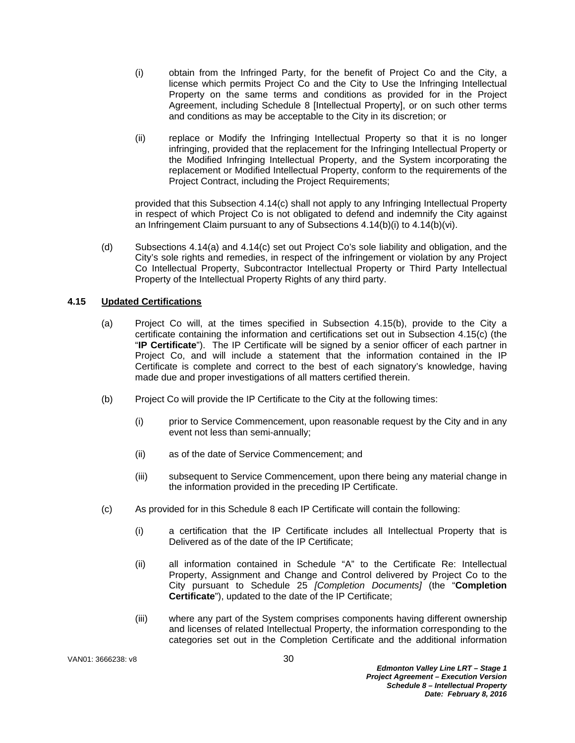- (i) obtain from the Infringed Party, for the benefit of Project Co and the City, a license which permits Project Co and the City to Use the Infringing Intellectual Property on the same terms and conditions as provided for in the Project Agreement, including Schedule 8 [Intellectual Property], or on such other terms and conditions as may be acceptable to the City in its discretion; or
- (ii) replace or Modify the Infringing Intellectual Property so that it is no longer infringing, provided that the replacement for the Infringing Intellectual Property or the Modified Infringing Intellectual Property, and the System incorporating the replacement or Modified Intellectual Property, conform to the requirements of the Project Contract, including the Project Requirements;

provided that this Subsection 4.14(c) shall not apply to any Infringing Intellectual Property in respect of which Project Co is not obligated to defend and indemnify the City against an Infringement Claim pursuant to any of Subsections 4.14(b)(i) to 4.14(b)(vi).

(d) Subsections 4.14(a) and 4.14(c) set out Project Co's sole liability and obligation, and the City's sole rights and remedies, in respect of the infringement or violation by any Project Co Intellectual Property, Subcontractor Intellectual Property or Third Party Intellectual Property of the Intellectual Property Rights of any third party.

# **4.15 Updated Certifications**

- (a) Project Co will, at the times specified in Subsection 4.15(b), provide to the City a certificate containing the information and certifications set out in Subsection 4.15(c) (the "**IP Certificate**"). The IP Certificate will be signed by a senior officer of each partner in Project Co, and will include a statement that the information contained in the IP Certificate is complete and correct to the best of each signatory's knowledge, having made due and proper investigations of all matters certified therein.
- (b) Project Co will provide the IP Certificate to the City at the following times:
	- (i) prior to Service Commencement, upon reasonable request by the City and in any event not less than semi-annually;
	- (ii) as of the date of Service Commencement; and
	- (iii) subsequent to Service Commencement, upon there being any material change in the information provided in the preceding IP Certificate.
- (c) As provided for in this Schedule 8 each IP Certificate will contain the following:
	- (i) a certification that the IP Certificate includes all Intellectual Property that is Delivered as of the date of the IP Certificate;
	- (ii) all information contained in Schedule "A" to the Certificate Re: Intellectual Property, Assignment and Change and Control delivered by Project Co to the City pursuant to Schedule 25 *[Completion Documents]* (the "**Completion Certificate**"), updated to the date of the IP Certificate;
	- (iii) where any part of the System comprises components having different ownership and licenses of related Intellectual Property, the information corresponding to the categories set out in the Completion Certificate and the additional information